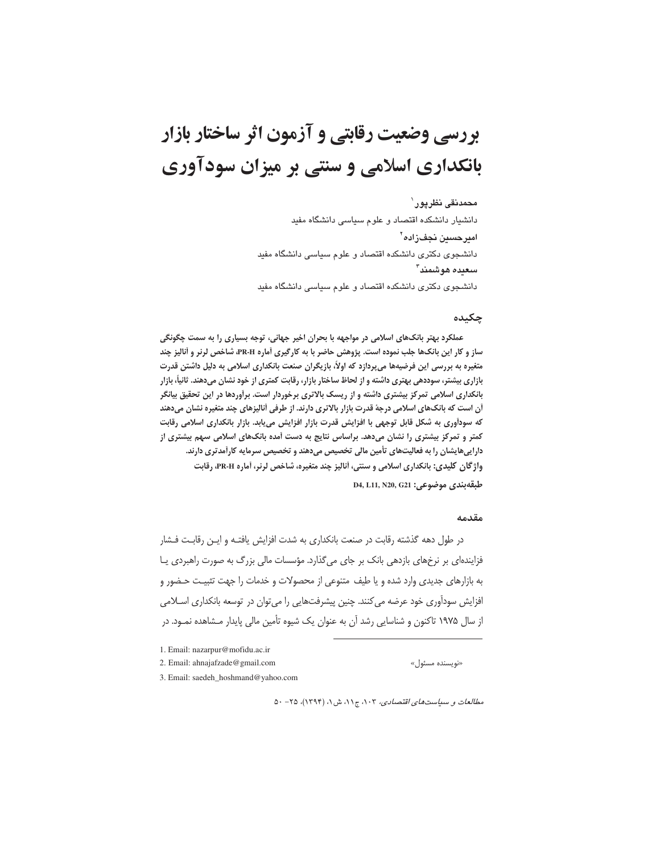محمدنقى نظرپور` دانشیار دانشکده اقتصاد و علوم سیاسی دانشگاه مفید امیرحسین نجفزاده<sup>۲</sup> دانشجوی دکتری دانشکده اقتصاد و علوم سیاسی دانشگاه مفید سعده هوشمند" دانشجوی دکتری دانشکده اقتصاد و علوم سیاسی دانشگاه مفید

## چکىدە

عملکرد بهتر بانکهای اسلامی در مواجهه با بحران اخیر جهانی، توجه بسیاری را به سمت چگونگی ساز و کار این بانکھا جلب نموده است. پژوهش حاضر با به کارگیری آماره PR-H، شاخص لرنر و آنالیز چند متغیره به بررسی این فرضیهها میپردازد که اولاً، بازیگران صنعت بانکداری اسلامی به دلیل داشتن قدرت بازاری بیشتر، سوددهی بهتری داشته و از لحاظ ساختار بازار، رقابت کمتری از خود نشان میدهند. ثانیاً، بازار بانکداری اسلامی تمرکز بیشتری داشته و از ریسک بالاتری برخوردار است. برآوردها در این تحقیق بیانگر آن است که بانکهای اسلامی درجهٔ قدرت بازار بالاتری دارند. از طرفی آنالیزهای چند متغیره نشان میدهند که سودآوری به شکل قابل توجهی با افزایش قدرت بازار افزایش مییابد. بازار بانکداری اسلامی رقابت کمتر و تمرکز بیشتری را نشان میدهد. براساس نتایج به دست آمده بانکهای اسلامی سهم بیشتری از دارایی هایشان را به فعالیتهای تأمین مالی تخصیص میدهند و تخصیص سرمایه کارآمدتری دارند. واژگان کلیدی: بانکداری اسلامی و سنتی، آنالیز چند متغیره، شاخص لرنر، آماره PR-H، رقابت D4, L11, N20, G21 موضوعي: D4, L11, N20, G21

#### مقدمه

در طول دهه گذشته رقابت در صنعت بانکداری به شدت افزایش یافتـه و ایـن رقابـت فــشار فزایندهای بر نرخهای بازدهی بانک بر جای می گذارد. مؤسسات مالی بزرگ به صورت راهبردی یـا به بازارهای جدیدی وارد شده و یا طیف متنوعی از محصولات و خدمات را جهت تثبیـت حـضور و افزایش سودآوری خود عرضه می کنند. چنین پیشرفتهایی را می توان در توسعه بانکداری اسلامی از سال ۱۹۷۵ تاکنون و شناسایی رشد آن به عنوان یک شیوه تأمین مالی پایدار مـشاهده نمـود. در

«نویسنده مسئول»

3. Email: saedeh\_hoshmand@yahoo.com

مطالعات و سياست هاي اقتصادي، ١٠٣، ج١١، ش ١، (١٣٩۴)، ٢٥- ٥٠

<sup>1.</sup> Email: nazarpur@mofidu.ac.ir

<sup>2.</sup> Email: ahnajafzade@gmail.com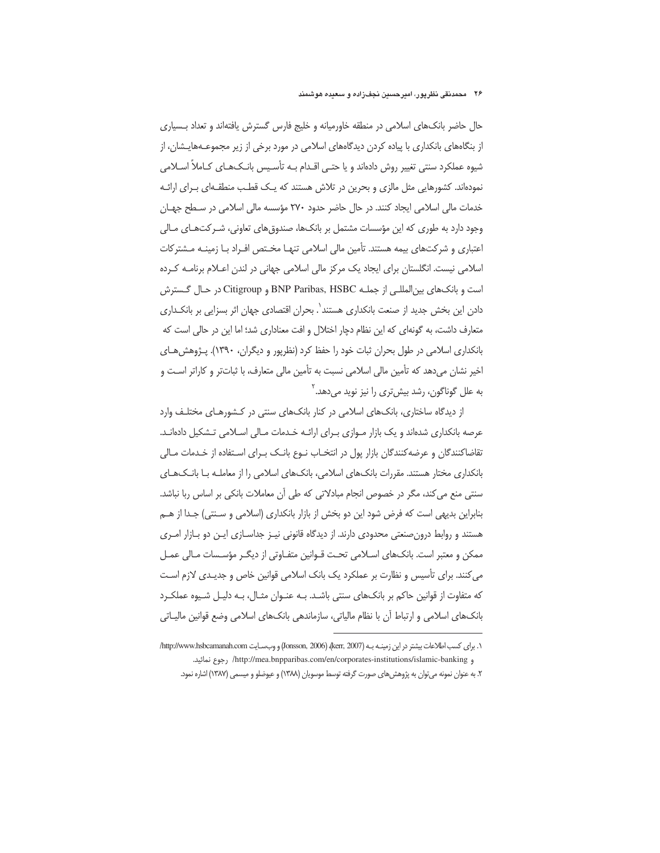حال حاضر بانک های اسلامی در منطقه خاورمیانه و خلیج فارس گسترش یافتهاند و تعداد بـسیاری از بنگاههای بانکداری با پیاده کردن دیدگاههای اسلامی در مورد برخی از زیر مجموعـههایـشان، از شیوه عملکرد سنتی تغییر روش دادهاند و یا حتـی اقـدام بـه تأسـیس بانـکـهـای کـاملاً اسـلامی نمودهاند. کشورهایی مثل مالزی و بحرین در تلاش هستند که یـک قطـب منطقـهای بـرای ارائـه خدمات مالی اسلامی ایجاد کنند. در حال حاضر حدود ٢٧٠ مؤسسه مالی اسلامی در سطح جهان وجود دارد به طوری که این مؤسسات مشتمل بر بانکها، صندوقهای تعاونی، شـرکتهـای مـالی اعتباری و شرکتهای بیمه هستند. تأمین مالی اسلامی تنهـا مخـتص افـراد بـا زمینـه مـشترکات اسلامی نیست. انگلستان برای ایجاد یک مرکز مالی اسلامی جهانی در لندن اعـلام برنامـه کـرده است و بانک های بین المللـی از جملـه BNP Paribas, HSBC و Citigroup در حـال گـسترش دادن این بخش جدید از صنعت بانکداری هستند`. بحران اقتصادی جهان اثر بسزایی بر بانکـداری متعارف داشت، به گونهای که این نظام دچار اختلال و افت معناداری شد؛ اما این در حالی است که بانکداری اسلامی در طول بحران ثبات خود را حفظ کرد (نظرپور و دیگران، ۱۳۹۰). پـژوهش هـای اخیر نشان میدهد که تأمین مالی اسلامی نسبت به تأمین مالی متعارف، با ثباتتر و کاراتر است و به علل گوناگون، رشد بیشتری را نیز نوید میدهد.<sup>۲</sup>

از دیدگاه ساختاری، بانکهای اسلامی در کنار بانکهای سنتی در کشورهای مختلف وارد عرصه بانکداری شدهاند و یک بازار مـوازی بـرای ارائـه خـدمات مـالی اسـلامی تـشکیل دادهانـد. تقاضاکنندگان و عرضهکنندگان بازار پول در انتخـاب نـوع بانـک بـرای اسـتفاده از خـدمات مـالی بانکداری مختار هستند. مقررات بانکهای اسلامی، بانکهای اسلامی را از معاملـه بـا بانـکـهـای سنتی منع می کند، مگر در خصوص انجام مبادلاتی که طی آن معاملات بانکی بر اساس ربا نباشد. بنابراین بدیهی است که فرض شود این دو بخش از بازار بانکداری (اسلامی و سـنتی) جـدا از هـم هستند و روابط درون صنعتی محدودی دارند. از دیدگاه قانونی نیـز جداسـازی ایـن دو بـازار امـری ممکن و معتبر است. بانکھای اسـلامی تحـت قــوانین متفــاوتی از دیگــر مؤســسات مــالی عمــل می کنند. برای تأسیس و نظارت بر عملکرد یک بانک اسلامی قوانین خاص و جدیـدی لازم اسـت که متفاوت از قوانین حاکم بر بانکهای سنتی باشد. بـه عنـوان مثـال، بـه دلیـل شـیوه عملکـرد بانکھای اسلامی و ارتباط آن با نظام مالیاتی، سازماندھی بانکھای اسلامی وضع قوانین مالیـاتی

١. براى كسب اطلاعات بيشتر در اين زمينـه بـه (2007 ,Kerr, 2006) (Jonsson, 2006) و وبـعسـايت http://www.hsbcamanah.com/ و http://mea.bnpparibas.com/en/corporates-institutions/islamic-banking , جوع نمائيد.

۲. به عنوان نمونه می توان به پژوهش های صورت گرفته توسط موسویان (۱۳۸۸) و عیوضلو و میسمی (۱۳۸۷) اشاره نمود.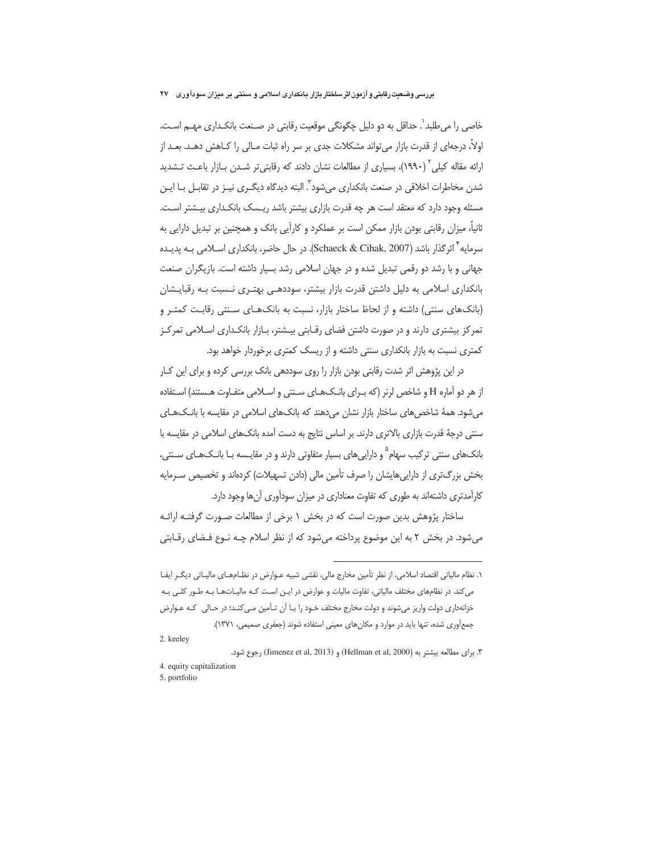خاصی را میطلبد `. حداقل به دو دلیل چگونگی موقعیت رقابتی در صـنعت بانکـداری مهــم اسـت. اولاً، درجهای از قدرت بازار می¤واند مشکلات جدی بر سر راه ثبات مـالی را کـاهش دهـد. بعـد از ارائه مقاله کیلی<sup>۲</sup> (۱۹۹۰)، بسیاری از مطالعات نشان دادند که رقابتی¤ر شـدن بـازار باعـث تـشدید شدن مخاطرات اخلاقی در صنعت بانکداری می شود ؓ. البته دیدگاه دیگـری نیـز در تقابـل بـا ایـن مسئله وجود دارد که معتقد است هر چه قدرت بازاری بیشتر باشد ریـسک بانکـداری بیـشتر اسـت. ثانیاً، میزان رقابتی بودن بازار ممکن است بر عملکرد و کارآیی بانک و همچنین بر تبدیل دارایی به سرمایه ٔ اثر گذار باشد (Schaeck & Cihak, 2007). در حال حاضر، بانکداری اسـلامی بـه پدیـده جهانی و با رشد دو رقمی تبدیل شده و در جهان اسلامی رشد بسیار داشته است. بازیگران صنعت بانکداری اسلامی به دلیل داشتن قدرت بازار بیشتر، سوددهـی بهتـری نـسبت بـه رقبایـشان (بانکهای سنتی) داشته و از لحاظ ساختار بازار، نسبت به بانکهـای سـنتی رقابـت کمتـر و تمرکز بیشتری دارند و در صورت داشتن فضای رقـابتی بیـشتر، بـازار بانکـداری اسـلامی تمرکـز کمتری نسبت به بازار بانکداری سنتی داشته و از ریسک کمتری برخوردار خواهد بود.

در این پژوهش اثر شدت رقابتی بودن بازار را روی سوددهی بانک بررسی کرده و برای این کـار از هر دو آماره H و شاخص لرنر (که بـرای بانـک&ای سـنتی و اسـلامی متفـاوت هـستند) اسـتفاده می شود. همهٔ شاخص های ساختار بازار نشان می دهند که بانک های اسلامی در مقایسه با بانـک۱هـای سنتی درجهٔ قدرت بازاری بالاتری دارند. بر اساس نتایج به دست آمده بانکهای اسلامی در مقایسه با بانکهای سنتی ترکیب سهام<sup>۵</sup> و داراییهای بسیار متفاوتی دارند و در مقایـسه بـا بانـکـهـای سـنتی، بخش بزرگ تری از دارایی هایشان را صرف تأمین مالی (دادن تسهیلات) کردهاند و تخصیص سـرمایه کارآمدتری داشتهاند به طوری که تفاوت معناداری در میزان سودآوری آنها وجود دارد.

ساختار پژوهش بدین صورت است که در بخش ۱ برخی از مطالعات صـورت گرفتـه ارائـه می شود. در بخش ۲ به این موضوع پرداخته می شود که از نظر اسلام چـه نـوع فـضای رقـابتی

١. نظام مالياتي اقتصاد اسلامي، از نظر تأمين مخارج مالي، نقشي شبيه عــوارض در نظــامهــاي ماليــاتي ديگــر ايفــا می کند. در نظامهای مختلف مالیاتی، تفاوت مالیات و عوارض در ایـن اسـت کـه مالیـاتهـا بـه طـور کلـی بـه خزانهداری دولت واریز میشوند و دولت مخارج مختلف خـود را بـا آن تـأمین مـی کنـد؛ در حـالی کـه عـوارض جمع آوری شده، تنها باید در موارد و مکان های معینی استفاده شوند (جعفری صمیمی، ١٣٧١).

<sup>2.</sup> keeley

٣. براى مطالعه بيشتر به (Hellman et al, 2000) و (Jimenez et al, 2013) رجوع شود.

<sup>4.</sup> equity capitalization

<sup>5.</sup> portfolio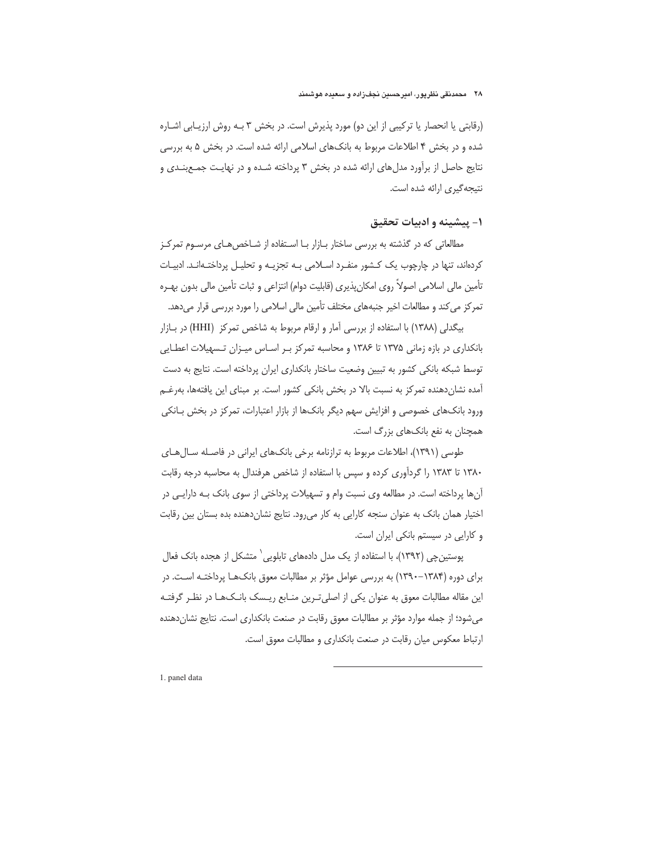# ۲۸ محمدنقی نظریور، امیرحسین نجفزاده و سعیده هوشمند

(رقابتی یا انحصار یا ترکیبی از این دو) مورد پذیرش است. در بخش ۳ بـه روش ارزیـابی اشـاره شده و در بخش ۴ اطلاعات مربوط به بانکهای اسلامی ارائه شده است. در بخش ۵ به بررسی نتایج حاصل از برآورد مدل های ارائه شده در بخش ۳ پرداخته شـده و در نهایـت جمـعبنـدی و نتيجه گيري ارائه شده است.

# ١- يېشىنە و ادىيات تحقيق

مطالعاتی که در گذشته به بررسی ساختار بازار با استفاده از شاخص های مرسوم تمرکز کردهاند، تنها در چارچوب یک کشور منفـرد اسـلامی بـه تجزیـه و تحلیـل پرداختـهانـد. ادبیـات تأمین مالی اسلامی اصولاً روی امکانِپذیری (قابلیت دوام) انتزاعی و ثبات تأمین مالی بدون بهـره تمرکز می کند و مطالعات اخیر جنبههای مختلف تأمین مالی اسلامی را مورد بررسی قرار میدهد.

بیگدلی (۱۳۸۸) با استفاده از بررسی آمار و ارقام مربوط به شاخص تمرکز (HHI) در بازار بانکداری در بازه زمانی ۱۳۷۵ تا ۱۳۸۶ و محاسبه تمرکز بـر اسـاس میـزان تـسهیلات اعطـایی توسط شبکه بانکی کشور به تبیین وضعیت ساختار بانکداری ایران پرداخته است. نتایج به دست آمده نشاندهنده تمرکز به نسبت بالا در بخش بانکی کشور است. بر مبنای این یافتهها، بهرغـم ورود بانکهای خصوصی و افزایش سهم دیگر بانکها از بازار اعتبارات، تمرکز در بخش بـانکی همچنان به نفع بانکهای بزرگ است.

طوسی (۱۳۹۱)، اطلاعات مربوط به ترازنامه برخی بانکهای ایرانی در فاصله سـالهـای ۱۳۸۰ تا ۱۳۸۳ را گردآوری کرده و سپس با استفاده از شاخص هرفندال به محاسبه درجه رقابت آنها پرداخته است. در مطالعه وی نسبت وام و تسهیلات پرداختی از سوی بانک بـه دارایـی در اختیار همان بانک به عنوان سنجه کارایی به کار می رود. نتایج نشان دهنده بده بستان بین رقابت و کارایی در سیستم بانکی ایران است.

پوستین چی (۱۳۹۲)، با استفاده از یک مدل دادههای تابلویی` متشکل از هجده بانک فعال برای دوره (۱۳۸۴–۱۳۹۰) به بررسی عوامل مؤثر بر مطالبات معوق بانکهـا پرداختـه اسـت. در این مقاله مطالبات معوق به عنوان یکی از اصلی تـرین منـابع ریـسک بانـک&ا در نظـر گرفتـه می شود؛ از جمله موارد مؤثر بر مطالبات معوق رقابت در صنعت بانکداری است. نتایج نشان دهنده ارتباط معكوس ميان رقابت در صنعت بانكداري و مطالبات معوق است.

1. panel data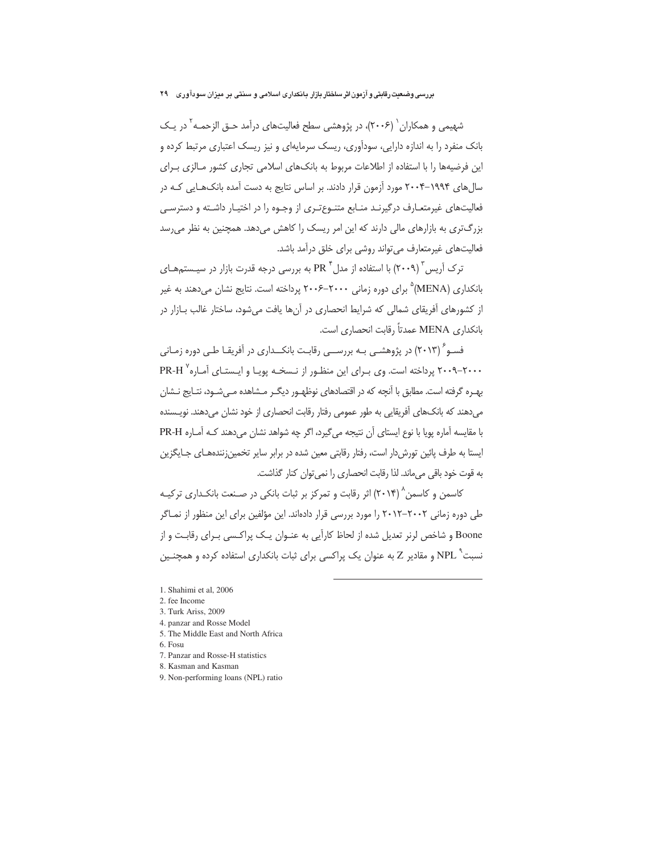شهیمی و همکاران <sup>(</sup> (۲۰۰۶)، در پژوهشی سطح فعالیتهای درآمد حـق الزحمـه <sup>۲</sup> در یـک بانک منفرد را به اندازه دارایی، سودآوری، ریسک سرمایهای و نیز ریسک اعتباری مرتبط کرده و این فرضیهها را با استفاده از اطلاعات مربوط به بانکهای اسلامی تجاری کشور مـالزی بـرای سال های ۱۹۹۴–۲۰۰۴ مورد آزمون قرار دادند. بر اساس نتایج به دست آمده بانک هـایی کـه در فعالیتهای غیرمتعـارف درگیرنـد منـابع متنـوع تـری از وجـوه را در اختیـار داشـته و دسترسـی بزرگتری به بازارهای مالی دارند که این امر ریسک را کاهش میدهد. همچنین به نظر می رسد فعالیتهای غیرمتعارف می تواند روشی برای خلق درآمد باشد.

ترک اَریس آ $\left(\mathsf{r}\cdot\mathsf{A}\right)$  با استفاده از مدل آ $\mathrm{PR}$  به بررسی درجه قدرت بازار در سیـستمهـای بانکداری (MENA)° برای دوره زمانی ۲۰۰۰–۲۰۰۶ پرداخته است. نتایج نشان میدهند به غیر از کشورهای آفریقای شمالی که شرایط انحصاری در آنها یافت می شود، ساختار غالب بــازار در بانكداري MENA عمدتاً رقابت انحصاري است.

فسـو ٔ (۲۰۱۳) در پژوهشـی بـه بررســی رقابـت بانکــداری در آفریقـا طـی دوره زمـانی ۲۰۰۰–۲۰۰۹ پرداخته است. وی بـرای این منظـور از نـسخـه پویـا و ایـستـای آمـاره<sup>۲</sup> PR-H بهـره گرفته است. مطابق با آنچه که در اقتصادهای نوظهـور دیگـر مـشاهده مـیشـود، نتـایج نـشان مے دھند که بانکھای آفریقایے به طور عمومی رفتار رقابت انحصاری از خود نشان مے دھند. نویـسنده با مقایسه آماره پویا با نوع ایستای آن نتیجه میگیرد، اگر چه شواهد نشان می دهند کـه آمـاره PR-H ایستا به طرف پائین تورش دار است، رفتار رقابتی معین شده در برابر سایر تخمین;نندههـای جـایگزین به قوت خود باقى مى ماند. لذا رقابت انحصارى را نمى توان كنار گذاشت.

کاسمن و کاسمن ۲۰۱۴) اثر رقابت و تمرکز بر ثبات بانکی در صـنعت بانکـداری ترکیـه طی دوره زمانی ۲۰۰۲–۲۰۱۲ را مورد بررسی قرار دادهاند. این مؤلفین برای این منظور از نمـاگر Boone و شاخص لرنر تعدیل شده از لحاظ کارآیی به عنـوان یـک پراکـسی بـرای رقابـت و از نسبت<sup>۹</sup> NPL و مقادیر Z به عنوان یک پراکسی برای ثبات بانکداری استفاده کرده و همچنـین

- 5. The Middle East and North Africa
- 6. Fosu
- 7 Panzar and Rosse-H statistics
- 8. Kasman and Kasman
- 9. Non-performing loans (NPL) ratio

<sup>1.</sup> Shahimi et al. 2006

<sup>2.</sup> fee Income

<sup>3.</sup> Turk Ariss, 2009

<sup>4.</sup> panzar and Rosse Model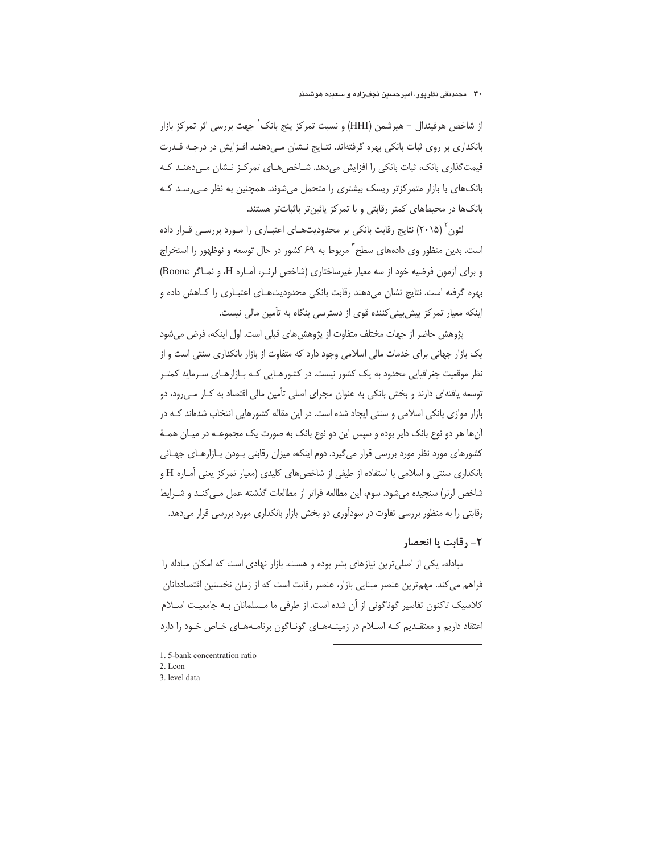از شاخص هرفيندال – هيرشمن (HHI) و نسبت تمركز ينج بانك` جهت بررسي اثر تمركز بازار بانکداری بر روی ثبات بانکی بهره گرفتهاند. نتـایج نـشان مـی‹هنـد افـزایش در درجـه قـدرت قیمتگذاری بانک، ثبات بانکی را افزایش می دهد. شـاخص هـای تمرکـز نـشان مـی دهنـد کـه بانکهای با بازار متمرکزتر ریسک بیشتری را متحمل میشوند. همچنین به نظر می رسد ک بانکها در محیطهای کمتر رقابتی و با تمرکز پائین تر باثبات تر هستند.

لئون ٔ (۲۰۱۵) نتایج رقابت بانکی بر محدودیتهـای اعتبـاری را مـورد بررسـی قـرار داده است. بدین منظور وی دادههای سطح ؓ مربوط به ۶۹ کشور در حال توسعه و نوظهور را استخراج و برای آزمون فرضیه خود از سه معیار غیرساختاری (شاخص لرنـر، آمـاره H، و نمـاگر Boone) بھرہ گرفته است. نتایج نشان مے دھند رقابت بانکی محدودیتھےای اعتبےاری را کےاھش دادہ و اینکه معیار تمرکز پیش بینی کننده قوی از دسترسی بنگاه به تأمین مالی نیست.

پژوهش حاضر از جهات مختلف متفاوت از پژوهش های قبلی است. اول اینکه، فرض می شود یک بازار جهانی برای خدمات مالی اسلامی وجود دارد که متفاوت از بازار بانکداری سنتی است و از نظر موقعیت جغرافیایی محدود به یک کشور نیست. در کشورهـایی کـه بـازارهـای سـرمایه کمتـر توسعه یافتهای دارند و بخش بانکی به عنوان مجرای اصلی تأمین مالی اقتصاد به کـار مـی رود، دو بازار موازی بانکی اسلامی و سنتی ایجاد شده است. در این مقاله کشورهایی انتخاب شدهاند کـه در آنها هر دو نوع بانک دایر بوده و سپس این دو نوع بانک به صورت یک مجموعـه در میـان همـهٔ کشورهای مورد نظر مورد بررسی قرار می€یرد. دوم اینکه، میزان رقابتی بـودن بـازارهـای جهـانی بانکداری سنتی و اسلامی با استفاده از طیفی از شاخص های کلیدی (معیار تمرکز یعنی آمـاره H و شاخص لرنر) سنجیدہ می شود. سوم، این مطالعه فراتر از مطالعات گذشته عمل مے کنـد و شـرایط رقابتی را به منظور بررسی تفاوت در سودآوری دو بخش بازار بانکداری مورد بررسی قرار میدهد.

# 2- رقابت یا انحصار

مبادله، یکی از اصلی ترین نیازهای بشر بوده و هست. بازار نهادی است که امکان مبادله را فراهم می کند. مهمترین عنصر مبنایی بازار، عنصر رقابت است که از زمان نخستین اقتصاددانان كلاسيك تاكنون تفاسير گوناگوني از آن شده است. از طرفي ما مــسلمانان بــه جامعيــت اســلام اعتقاد داریم و معتقـدیم کـه اسـلام در زمینـههـای گونـاگون برنامـههـای خـاص خـود را دارد

- 1.5-bank concentration ratio 2. Leon
- 3. level data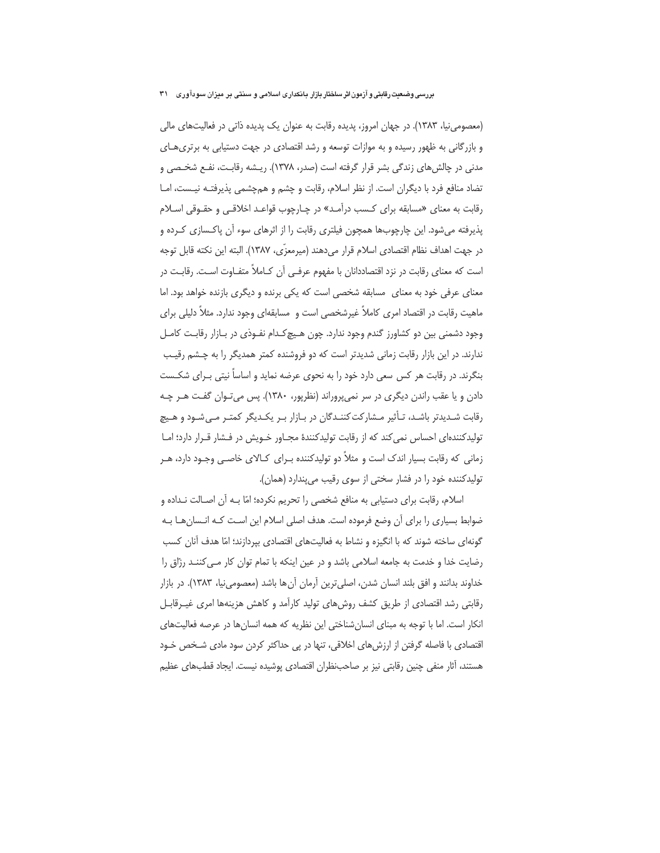(معصومی نیا، ۱۳۸۳). در جهان امروز، پدیده رقابت به عنوان یک پدیده ذاتی در فعالیتهای مالی و بازرگانی به ظهور رسیده و به موازات توسعه و رشد اقتصادی در جهت دستیابی به برتری هـای مدنی در چالش های زندگی بشر قرار گرفته است (صدر، ۱۳۷۸). ریـشه رقابـت، نفـع شخـصی و تضاد منافع فرد با دیگران است. از نظر اسلام، رقابت و چشم و همچشمی پذیرفتـه نیـست، امـا رقابت به معنای «مسابقه برای کـسب درآمـد» در چـارچوب قواعـد اخلاقـی و حقـوقی اسـلام پذیرفته میشود. این چارچوبها همچون فیلتری رقابت را از اثرهای سوء آن پاکسازی کـرده و در جهت اهداف نظام اقتصادي اسلام قرار مي دهند (ميرمعزّي، ١٣٨٧). البته اين نكته قابل توجه است که معنای رقابت در نزد اقتصاددانان با مفهوم عرفـی آن کـاملاً متفـاوت اسـت. رقابـت در معنای عرفی خود به معنای ِ مسابقه شخصی است که یکی برنده و دیگری بازنده خواهد بود. اما ماهیت رقابت در اقتصاد امری کاملاً غیرشخصی است و مسابقهای وجود ندارد. مثلاً دلیلی برای وجود دشمنی بین دو کشاورز گندم وجود ندارد. چون هیچ کـدام نفـوذی در بـازار رقابـت کامـل ندارند. در این بازار رقابت زمانی شدیدتر است که دو فروشنده کمتر همدیگر را به چشم رقیب بنگرند. در رقابت هر کس سعی دارد خود را به نحوی عرضه نماید و اساساً نیتی بـرای شکـست دادن و یا عقب راندن دیگری در سر نمیپروراند (نظرپور، ۱۳۸۰). پس میتوان گفت هـر چـه رقابت شـدیدتر باشـد، تـأثیر مـشارکت کننـدگان در بـازار بـر یکـدیگر کمتـر مـی شـود و هـیچ تولیدکنندهای احساس نمی کند که از رقابت تولیدکنندهٔ مجـاور خـویش در فـشار قـرار دارد؛ امـا زمانی که رقابت بسیار اندک است و مثلاً دو تولیدکننده بـرای کـالای خاصـی وجـود دارد، هـر تولیدکننده خود را در فشار سختی از سوی رقیب می پندارد (همان).

اسلام، رقابت براي دستيابي به منافع شخصي را تحريم نكرده؛ امّا بـه آن اصـالت نـداده و ضوابط بسیاری را برای آن وضع فرموده است. هدف اصلی اسلام این است کـه انـسان هـا بـه گونهای ساخته شوند که با انگیزه و نشاط به فعالیتهای اقتصادی بیردازند؛ امّا هدف آنان کسب رضایت خدا و خدمت به جامعه اسلامی باشد و در عین اینکه با تمام توان کار مـی کننـد رزّاق را خداوند بدانند و افق بلند انسان شدن، اصلي ترين آرمان آن ها باشد (معصومي نيا، ١٣٨٣). در بازار رقابتی رشد اقتصادی از طریق کشف روش های تولید کارآمد و کاهش هزینهها امری غیـرقابـل انکار است. اما با توجه به مبنای انسانشناختی این نظریه که همه انسانها در عرصه فعالیتهای اقتصادی با فاصله گرفتن از ارزش های اخلاقی، تنها در یی حداکثر کردن سود مادی شـخص خـود هستند، آثار منفی چنین رقابتی نیز بر صاحبنظران اقتصادی پوشیده نیست. ایجاد قطبهای عظیم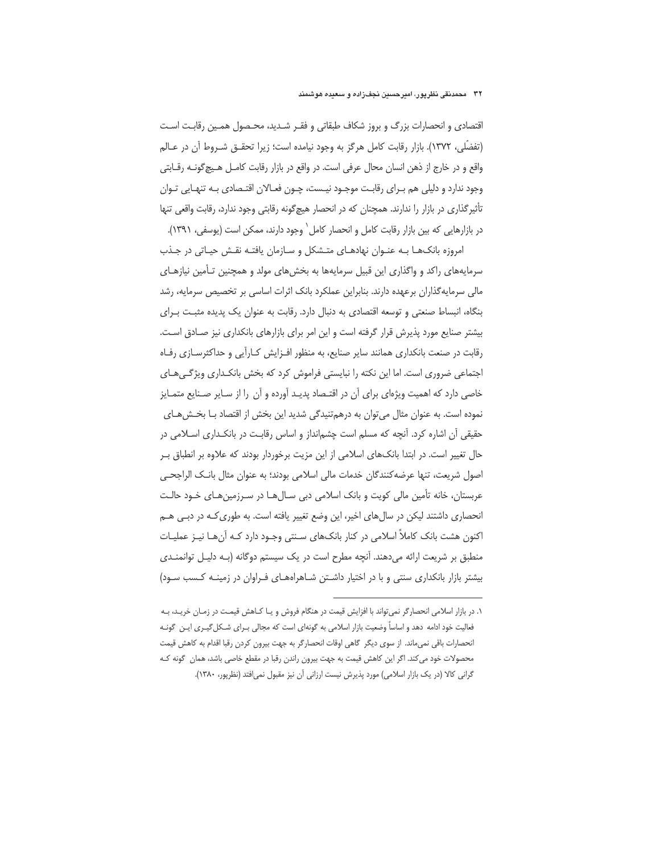## ۳۲ - محمدنقی نظریور، امبرحسین نجفزاده و سعیده هوشمند

اقتصادی و انحصارات بزرگ و بروز شکاف طبقاتی و فقـر شـدید، محـصول همـین رقابـت اسـت (تفضَّلي، ١٣٧٢). بازار رقابت كامل هرگز به وجود نيامده است؛ زيرا تحقــق شــروط آن در عــالم واقع و در خارج از ذهن انسان محال عرفي است. در واقع در بازار رقابت كامـل هـيچ&ونـه رقــابتي وجود ندارد و دلیلی هم بـرای رقابـت موجـود نیـست، چـون فعـالان اقتـصادی بـه تنهـایی تـوان تأثیر گذاری در بازار را ندارند. همچنان که در انحصار هیچگونه رقابتی وجود ندارد، رقابت واقعی تنها در بازارهایی که بین بازار رقابت کامل و انحصار کامل` وجود دارند، ممکن است (یوسفی، ۱۳۹۱).

امروزه بانکهـا بـه عنـوان نهادهـای متـشکل و سـازمان یافتـه نقـش حیـاتی در جـذب سرمایههای راکد و واگذاری این قبیل سرمایهها به بخشهای مولد و همچنین تـأمین نیازهـای مالی سرمایهگذاران برعهده دارند. بنابراین عملکرد بانک اثرات اساسی بر تخصیص سرمایه، رشد بنگاه، انبساط صنعتی و توسعه اقتصادی به دنبال دارد. رقابت به عنوان یک پدیده مثبت بـرای بیشتر صنایع مورد پذیرش قرار گرفته است و این امر برای بازارهای بانکداری نیز صـادق اسـت. رقابت در صنعت بانکداری همانند سایر صنایع، به منظور افـزایش کـارآیی و حداکثرسـازی رفـاه اجتماعی ضروری است. اما این نکته را نبایستی فراموش کرد که بخش بانکداری ویژگیهای خاصی دارد که اهمیت ویژهای برای آن در اقتـصاد پدیـد آورده و آن را از سـایر صـنایع متمـایز نموده است. به عنوان مثال می توان به درهمتنیدگی شدید این بخش از اقتصاد بـا بخـشهـای حقیقی آن اشاره کرد. آنچه که مسلم است چشمانداز و اساس رقابت در بانکـداری اسـلامی در حال تغییر است. در ابتدا بانکهای اسلامی از این مزیت برخوردار بودند که علاوه بر انطباق بـر اصول شريعت، تنها عرضه كنندگان خدمات مالي اسلامي بودند؛ به عنوان مثال بانـك الراجحـي عربستان، خانه تأمین مالی کویت و بانک اسلامی دبی سـال۱مـا در سـرزمینهـای خـود حالـت انحصاری داشتند لیکن در سال های اخیر، این وضع تغییر یافته است. به طوری کـه در دبـی هـم اکنون هشت بانک کاملاً اسلامی در کنار بانکـهای سـنتی وجـود دارد کـه آنِهـا نیـز عملیـات منطبق بر شریعت ارائه میدهند. آنچه مطرح است در یک سیستم دوگانه (بـه دلیـل توانمنـدی بیشتر بازار بانکداری سنتی و با در اختیار داشـتن شـاهراههـای فـراوان در زمینـه کـسب سـود)

١. در بازار اسلامي انحصار گر نمي تواند با افزايش قيمت در هنگام فروش و يـا كـاهش قيمـت در زمـان خريـد، بـه فعالیت خود ادامه دهد و اساساً وضعیت بازار اسلامی به گونهای است که مجالی بـرای شـکل گیـری ایـن گونـه انحصارات باقی نمی،اند. از سوی دیگر گاهی اوقات انحصارگر به جهت بیرون کردن رقبا اقدام به کاهش قیمت محصولات خود می کند. اگر این کاهش قیمت به جهت بیرون راندن رقبا در مقطع خاصی باشد، همان گونه کـه گرانی کالا (در یک بازار اسلامی) مورد پذیرش نیست ارزانی آن نیز مقبول نمی|فتد (نظرپور، ۱۳۸۰).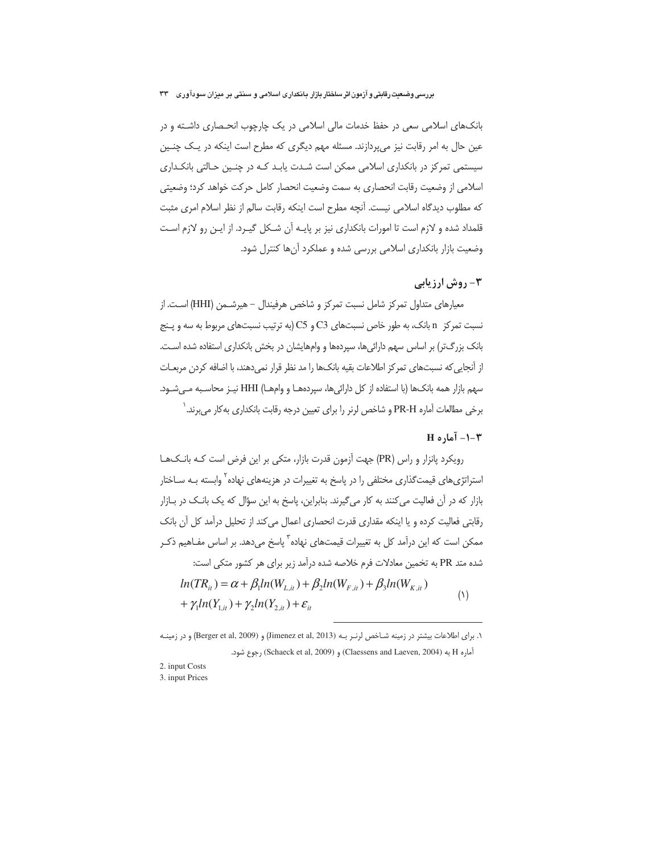بانکهای اسلامی سعی در حفظ خدمات مالی اسلامی در یک چارچوب انحـصاری داشـته و در عین حال به امر رقابت نیز میپردازند. مسئله مهم دیگری که مطرح است اینکه در یک چنـین سیستمی تمرکز در بانکداری اسلامی ممکن است شـدت پابـد کـه در چنـین حـالتی بانکـداری اسلامی از وضعیت رقابت انحصاری به سمت وضعیت انحصار کامل حرکت خواهد کرد؛ وضعیتی كه مطلوب ديدگاه اسلامي نيست. آنچه مطرح است اينكه رقابت سالم از نظر اسلام امرى مثبت قلمداد شده و لازم است تا امورات بانکداری نیز بر پایـه آن شـکل گیـرد. از ایـن رو لازم اسـت وضعیت بازار بانکداری اسلامی بررسی شده و عملکرد آنها کنترل شود.

# **۳- روش ارزیابی**

معيارهاي متداول تمركز شامل نسبت تمركز و شاخص هرفيندال – هيرشــمن (HHI) اســت. از نسبت تمرکز n بانک، به طور خاص نسبتهای C3 و C5 (به ترتیب نسبتهای مربوط به سه و پـنج بانک بزرگتر) بر اساس سهم دارائی ها، سیردهها و وامهایشان در بخش بانکداری استفاده شده است. از آنجایی که نسبتهای تمرکز اطلاعات بقیه بانکها را مد نظر قرار نمیدهند، با اضافه کردن مربعـات سهم بازار همه بانکها (با استفاده از کل دارائیها، سپردههـا و وامهـا) HHI نیـز محاسـبه مـیشـود. برخی مطالعات آماره PR-H و شاخص لرنر را برای تعیین درجه رقابت بانکداری بهکار می برند. `

# $H \circ I - \overline{I}$ اره  $-1 - \overline{I}$

رویکرد پانزار و راس (PR) جهت آزمون قدرت بازار، متکی بر این فرض است کـه بانـکـهـا استراتژیهای قیمتگذاری مختلفی را در پاسخ به تغییرات در هزینههای نهاده<sup>۲</sup> وابسته بــه ســاختار بازار که در آن فعالیت می کنند به کار می گیرند. بنابراین، پاسخ به این سؤال که یک بانک در بـازار رقابتی فعالیت کرده و یا اینکه مقداری قدرت انحصاری اعمال می کند از تحلیل درآمد کل آن بانک ممکن است که این درآمد کل به تغییرات قیمتهای نهاده<sup>۳</sup> پاسخ میدهد. بر اساس مفـاهیم ذکـر شده متد PR به تخمین معادلات فرم خلاصه شده درآمد زیر برای هر کشور متکی است:  $ln(TR_{ii}) = \alpha + \beta_1 ln(W_{i,ii}) + \beta_2 ln(W_{i,ii}) + \beta_3 ln(W_{i,ii})$  $(1)$ +  $\gamma_1 ln(Y_{1 it}) + \gamma_2 ln(Y_{2 it}) + \varepsilon_{it}$ 

١. براى اطلاعات بيشتر در زمينه شـاخص لرنـر بـه (Jimenez et al, 2013) و (Berger et al, 2009) و در زمينـه آماره H به (Claessens and Laeven, 2004) و (Schaeck et al, 2009) رجوع شود.

- 2. input Costs 3. input Prices
-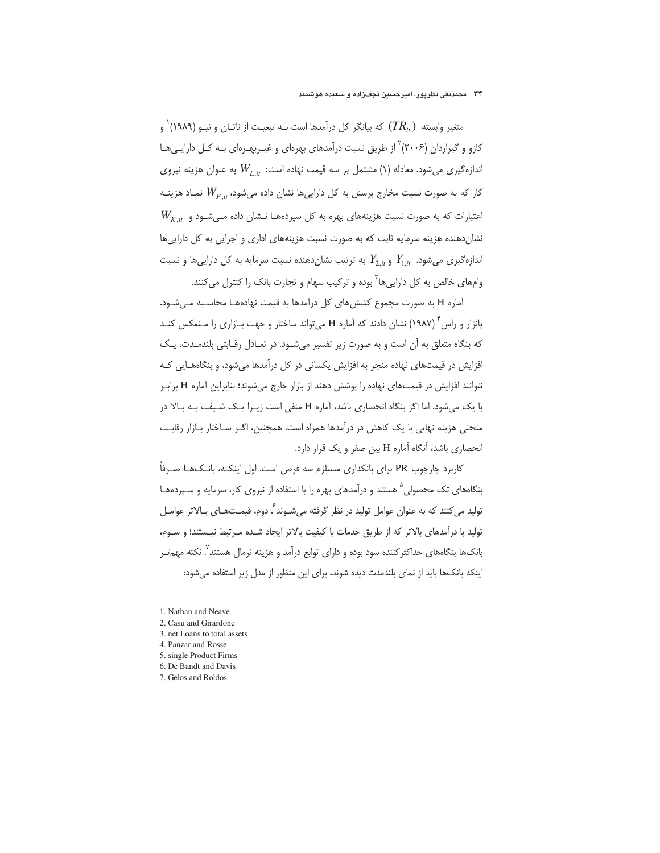#### ۳۴ - محمدنقی نظریور، امیرحسین نجف; اده و سعیده هوشمند

متغیر وابسته  $(TR_{_{it}})$  که بیانگر کل درآمدها است بــه تبعیــت از ناتــان و نیــو (۱۹۸۹)` و کازو و گیراردان (۲۰۰۶) ٔ از طریق نسبت درآمدهای بهرهای و غیـربهـرهای بـه کـل دارایـیهـا اندازهگیری میشود. معادله (۱) مشتمل بر سه قیمت نهاده است:  $W_{L it}$  به عنوان هزینه نیروی کار که به صورت نسبت مخارج پرسنل به کل داراییها نشان داده میشود،  $W_{F\,, it}$  نمـاد هزینــه  $W_{K_\cdot\! i\! t}$  اعتبارات که به صورت نسبت هزینههای بهره به کل سپردههـا نـشان داده مـیشـود و نشان دهنده هزینه سرمایه ثابت که به صورت نسبت هزینههای اداری و اجرایی به کل داراییها اندازهگیری میشود.  $Y_{1,i}$  و  $Y_{2,i}$  به ترتیب نشان دهنده نسبت سرمایه به کل داراییها و نسبت وامهای خالص به کل داراییها<sup>۲</sup> بوده و ترکیب سهام و تجارت بانک را کنترل می *ک*نند.

آماره H به صورت مجموع کشش های کل درآمدها به قیمت نهادههـا محاسـبه مـی شـود. یانزار و راس<sup>۲</sup> (۱۹۸۷) نشان دادند که آماره H میتواند ساختار و جهت بـازاری را مـنعکس کنـد که بنگاه متعلق به آن است و به صورت زیر تفسیر میشـود. در تعـادل رقـابتی بلندمـدت، یـک افزایش در قیمتهای نهاده منجر به افزایش یکسانی در کل درآمدها می شود، و بنگاههـایی کـه نتوانند افزایش در قیمتهای نهاده را یوشش دهند از بازار خارج می شوند؛ بنابراین آماره H براب با یک میشود. اما اگر بنگاه انحصاری باشد، آماره H منفی است زیــرا یــک شــیفت بــه بــالا در منحنی هزینه نهایی با یک کاهش در درآمدها همراه است. همچنین، اگـر سـاختار بــازار رقابـت انحصاری باشد، آنگاه آماره H بین صفر و یک قرار دارد.

کاربرد چارچوب PR برای بانکداری مستلزم سه فرض است. اول اینکـه، بانـک@ ا صـرفاً بنگاههای تک محصولی <sup>۵</sup> هستند و درآمدهای بهره را با استفاده از نیروی کار، سرمایه و سـپردههـا تولید می کنند که به عنوان عوامل تولید در نظر گرفته می شـوند ً. دوم، قیمـتهـای بـالاتر عوامـل تولید با درآمدهای بالاتر که از طریق خدمات با کیفیت بالاتر ایجاد شـده مـرتبط نیـستند؛ و سـوم، بانکها بنگاههای حداکثرکننده سود بوده و دارای توابع درآمد و هزینه نرمال هستند". نکته مهمتـر اینکه بانکها باید از نمای بلندمدت دیده شوند، برای این منظور از مدل زیر استفاده می شود:

- 4. Panzar and Rosse
- 5. single Product Firms 6. De Bandt and Davis
- 7. Gelos and Roldos

<sup>1.</sup> Nathan and Neave

<sup>2.</sup> Casu and Girardone

<sup>3.</sup> net Loans to total assets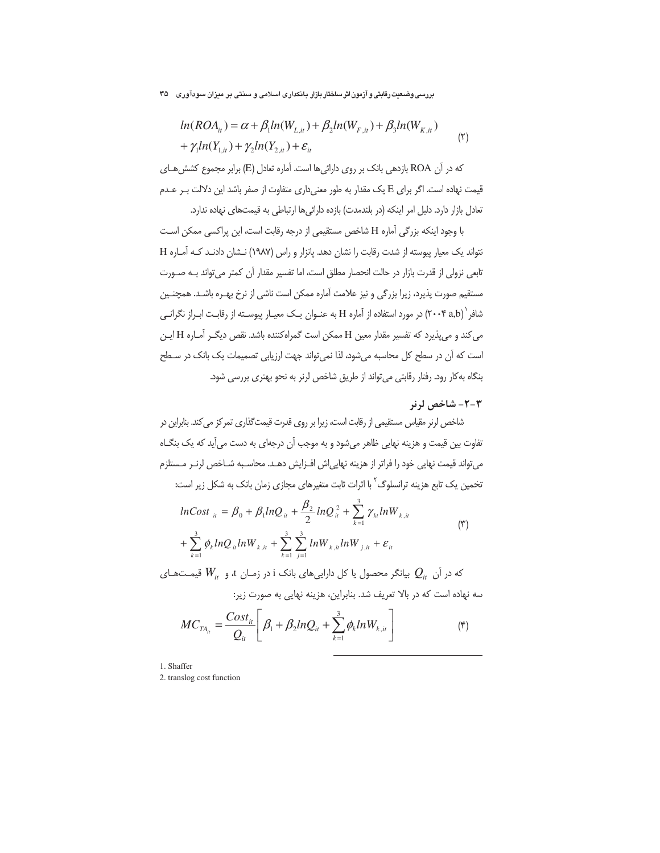$$
ln(ROA_{ii}) = \alpha + \beta_1 ln(W_{L,ii}) + \beta_2 ln(W_{F,ii}) + \beta_3 ln(W_{K,ii}) + \gamma_1 ln(Y_{L,ii}) + \gamma_2 ln(Y_{2,ii}) + \varepsilon_{ii}
$$
\n(7)

كه در آن ROA بازدهي بانك بر روى دارائيها است. آماره تعادل (E) برابر مجموع كشش هـاي قیمت نهاده است. اگر برای E یک مقدار به طور معنی داری متفاوت از صفر باشد این دلالت بـر عـدم تعادل بازار دارد. دلیل امر اینکه (در بلندمدت) بازده دارائیها ارتباطی به قیمتهای نهاده ندارد.

با وجود اینکه بزرگی آماره H شاخص مستقیمی از درجه رقابت است، این پراکسی ممکن است نتواند یک معیار پیوسته از شدت رقابت را نشان دهد. یانزار و راس (۱۹۸۷) نـشان دادنـد کـه آمـاره H تابعی نزولی از قدرت بازار در حالت انحصار مطلق است، اما تفسیر مقدار آن کمتر می تواند بـه صـورت مستقیم صورت پذیرد، زیرا بزرگی و نیز علامت آماره ممکن است ناشی از نرخ بهـره باشـد. همچنـین شافر ` (۲۰۰۴ a,b) در مورد استفاده از آماره H به عنـوان یـک معیـار پیوسـته از رقابـت ابـراز نگرانـی می کند و می پذیرد که تفسیر مقدار معین H ممکن است گمراه کننده باشد. نقص دیگ رآماره H ایـن است که آن در سطح کل محاسبه میشود، لذا نمی تواند جهت ارزیابی تصمیمات یک بانک در سـطح بنگاه به کار رود. رفتار رقابتی می تواند از طریق شاخص لرنر به نحو بهتری بررسی شود.

# ۲-۲- شاخص لرنر

شاخص لرنر مقیاس مستقیمی از رقابت است، زیرا بر روی قدرت قیمتگذاری تمرکز می کند. بنابراین در تفاوت بین قیمت و هزینه نهایی ظاهر میشود و به موجب آن درجهای به دست میآید که یک بنگـاه می تواند قیمت نهایی خود را فراتر از هزینه نهاییاش افـزایش دهـد. محاسـبه شــاخص لرنــر مــستلزم تخمین یک تابع هزینه ترانسلوگ <sup>۲</sup> با اثرات ثابت متغیرهای مجازی زمان بانک به شکل زیر است:

$$
lnCost_{ii} = \beta_0 + \beta_1 lnQ_{ii} + \frac{\beta_2}{2} lnQ_{ii}^2 + \sum_{k=1}^3 \gamma_{ki} lnW_{k,ii}
$$
  
+ 
$$
\sum_{k=1}^3 \phi_k lnQ_{ii} lnW_{k,ii} + \sum_{k=1}^3 \sum_{j=1}^3 lnW_{k,ii} lnW_{j,ii} + \varepsilon_{ii}
$$
 (7)

که در آن  $\,\,Q_{i\!\mu}\,$  بیانگر محصول یا کل داراییهای بانک i در زمـان t، و  $W_{i\!\mu}$  قیمـتهـای سه نهاده است که در بالا تعریف شد. بنابراین، هزینه نهایی به صورت زیر:

$$
MC_{TA_{it}} = \frac{Cost_{it}}{Q_{it}} \left[ \beta_1 + \beta_2 ln Q_{it} + \sum_{k=1}^3 \phi_k ln W_{k,it} \right]
$$
 (\*)

1. Shaffer

2. translog cost function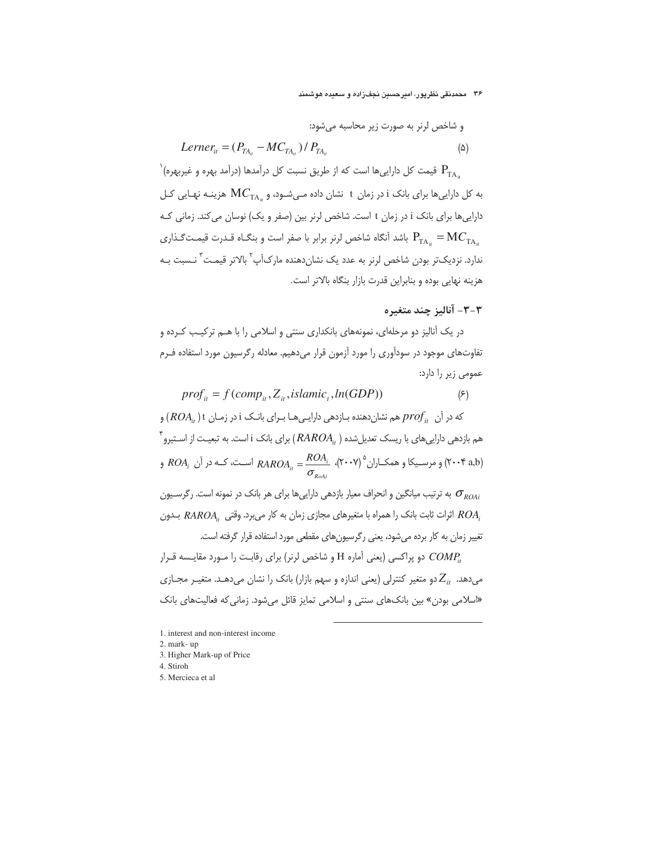## ۳۶ - محمدنقی نظریور، امیرحسین نجف(اده و سعیده هوشمند

و شاخص لرنر به صورت زیر محاسبه می شود:

$$
Lerner_{it} = (P_{TA_{it}} - MC_{TA_{it}}) / P_{TA_{it}} \tag{a}
$$

 $\left.\vphantom{\frac{1}{1}}\right\}$ قیمت کل داراییها است که از طریق نسبت کل درآمدها (درآمد بهره و غیربهره  $\left.\mathbf{P}_{\mathrm{T}\mathrm{A}_u}\right\}$ به کل داراییها برای بانک i در زمان t نشان داده مـیشـود، و  $\rm MC_{TA}$  هزینـه نهـایی کـل داراییها برای بانک i در زمان t است. شاخص لرنر بین (صفر و یک) نوسان می کند. زمانی کـه باشد آنگاه شاخص لرنر برابر با صفر است و بنگــاه قــدرت قیمــت $P_{\text{TA}} = \text{MC}_{\text{TA}}$ . ندارد. نزدیکتر بودن شاخص لرنر به عدد یک نشانِدهنده مارکآپ<sup>۲</sup> بالاتر قیمـت<sup>۳</sup> نـسبت بـه هزینه نهایی بوده و بنابراین قدرت بازار بنگاه بالاتر است.

# ٣-٣- آناليز چند متغيره

در یک آنالیز دو مرحلهای، نمونههای بانکداری سنتی و اسلامی را با هـم ترکیـب کـرده و تفاوتهای موجود در سودآوری را مورد آزمون قرار میدهیم. معادله رگرسیون مورد استفاده فـرم عمومی زیر را دارد:

 $prof_{it} = f(comp_{it}, Z_{it}, islamic, ln(GDP))$  $(5)$ که در آن  $\mathit{prof}_{ii}$  هم نشان دهنده بـازدهی دارایـی هـا بـرای بانـک i در زمـان t ( ,ROA) و  $\check{\;}$ هم بازدهی داراییهای با ریسک تعدیلشده (  $RROA_{i_t}$  ) برای بانک i است. به تبعیـت از اسـتیرو و مرسـيکا و همکـاران° (۲۰۰۷)  $RAROA_{ii} = \frac{ROA_i}{\sigma_{i}}$  اسـت، کـه در آن  $ROA_i$  و  $($ ۲۰۰۴  $A,b)$ به ترتیب میانگین و انحراف معیار بازدهی داراییها برای هر بانک در نمونه است. رگرسـیون  $\sigma_{\scriptscriptstyle ROAi}$ 

اثرات ثابت بانک را همراه با متغیرهای مجازی زمان به کار میبرد. وقتی  $RAROA_{i}$  بلون  $ROA_{i}$ تغییر زمان به کار برده می شود، یعنی رگرسیون های مقطعی مورد استفاده قرار گرفته است. دو پراکسی (یعنی آماره H و شاخص لرنر) برای رقابت را مـورد مقایـسه قـرار  $COMP_{ii}$ 

میدهد.  $Z_{it}$ دو متغیر کنترلی (یعنی اندازه و سهم بازار) بانک را نشان میدهد. متغیـر مجـازی «اسلامی بودن» بین بانکهای سنتی و اسلامی تمایز قائل میشود. زمانی که فعالیتهای بانک

1. interest and non-interest income

- 2. mark-up
- 3. Higher Mark-up of Price
- 4. Stiroh
- 5. Mercieca et al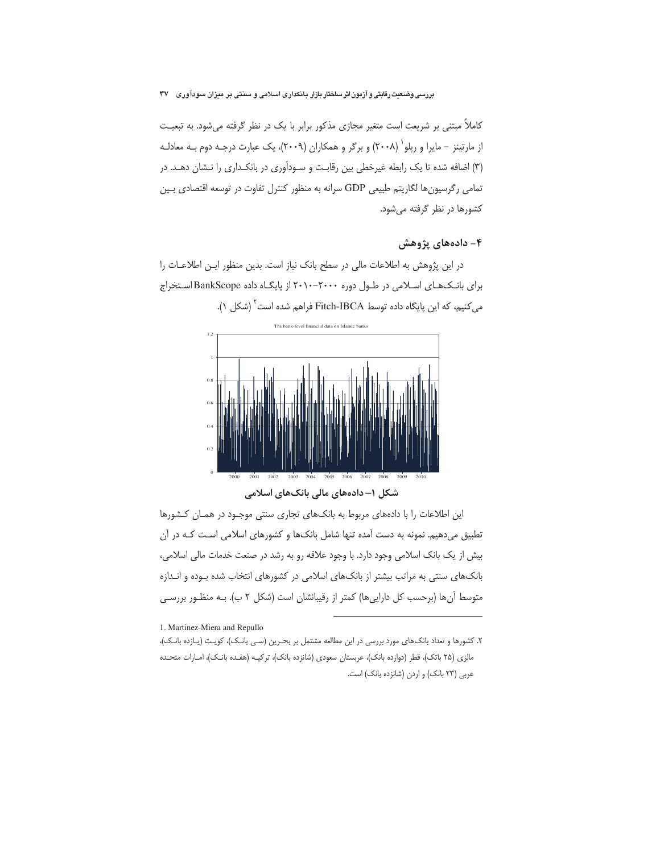کاملاً مبتنی بر شریعت است متغیر مجازی مذکور برابر با یک در نظر گرفته میشود. به تبعیـت از مارتینز – مایرا و ریلو` (۲۰۰۸) و برگر و همکاران (۲۰۰۹)، یک عبارت درجـه دوم بـه معادلـه (٣) اضافه شده تا یک رابطه غیرخطی بین رقابت و سـودآوری در بانکـداری را نـشان دهـد. در تمامی رگرسیونها لگاریتم طبیعی GDP سرانه به منظور کنترل تفاوت در توسعه اقتصادی بـین کشورها در نظر گرفته می شود.

# ۴- دادههای پژوهش

در این پژوهش به اطلاعات مالی در سطح بانک نیاز است. بدین منظور ایـن اطلاعـات را برای بانک های اسلامی در طول دوره ۲۰۰۰-۲۰۰۰ از پایگاه داده BankScope استخراج می کنیم، که این پایگاه داده توسط Fitch-IBCA فراهم شده است ٔ (شکل ۱).



این اطلاعات را با دادههای مربوط به بانکهای تجاری سنتی موجود در همان کشورها

تطبیق میدهیم. نمونه به دست آمده تنها شامل بانکـها و کشورهای اسلامی اسـت کـه در آن بیش از یک بانک اسلامی وجود دارد. با وجود علاقه رو به رشد در صنعت خدمات مالی اسلامی، بانکهای سنتی به مراتب بیشتر از بانکهای اسلامی در کشورهای انتخاب شده بـوده و انـدازه متوسط آنها (برحسب کل داراییها) کمتر از رقیبانشان است (شکل ۲ ب). بـه منظـور بررسـی

1. Martinez-Miera and Repullo

٢. كشورها و تعداد بانك@اي مورد بررسي در اين مطالعه مشتمل بر بحـرين (سـي بانـك)، كويـت (يـازده بانـك)، مالزی (۲۵ باتک)، قطر (دوازده بانک)، عربستان سعودی (شانزده بانک)، ترکیـه (هفـده بانـک)، امـارات متحـده عربی (٢٣ بانک) و اردن (شانزده بانک) است.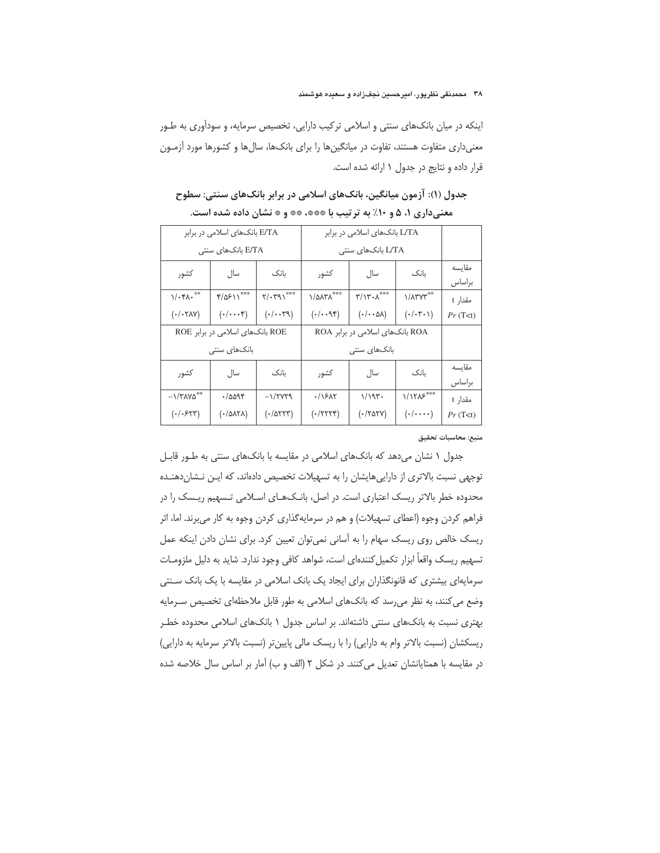اینکه در میان بانکهای سنتی و اسلامی ترکیب دارایی، تخصیص سرمایه، و سودآوری به طـور معنیداری متفاوت هستند، تفاوت در میانگینها را برای بانکها، سالها و کشورها مورد آزمـون قرار داده و نتایج در جدول ۱ ارائه شده است.

|                                         | E/TA بانکهای اسلامی در برابر      |                                     | L/TA بانکهای اسلامی در برابر        |                                                        |                                 |          |
|-----------------------------------------|-----------------------------------|-------------------------------------|-------------------------------------|--------------------------------------------------------|---------------------------------|----------|
|                                         | E/TA بانکهای سنتی                 |                                     | L/TA بانکهای سنتی                   |                                                        |                                 |          |
| كشور                                    | سال.                              | ىانك                                | كشور                                | سال                                                    | ىانك                            | مقاىسە   |
|                                         |                                   |                                     |                                     |                                                        |                                 | براساس   |
| $\mathcal{N} \cdot \mathcal{M} \cdot$   | $f(\Delta F)$                     | $\gamma/\cdot\gamma\gamma\rangle$   | $\lambda/\Delta\lambda$ ۳ $\lambda$ | $\mathbf{r}/\mathbf{v}\cdot \mathbf{v}^{\ast\ast\ast}$ | <b>\/</b> A \r V \r **          | مقدار t  |
| $(\cdot/\cdot \text{YAV})$              | $(\cdot/\cdots)^{\epsilon}$       | $( \cdot / \cdot \cdot \mathbb{M})$ | (1.49)                              | $(\cdot/\cdot\cdot\Delta\lambda)$                      | $(\cdot/\cdot \mathbf{y}\cdot)$ | Pr(T< t) |
|                                         | ROE بانکهای اسلامی در برابر ROE   |                                     | ROA بانکهای اسلامی در برابر ROA     |                                                        |                                 |          |
|                                         | بانکھا <i>ی</i> سنتے <sub>،</sub> |                                     |                                     | بانکھای سنتے,                                          |                                 |          |
| كشور                                    | سال                               | ىانك                                | كشور                                | سال                                                    | ىانك                            | مقاىسە   |
|                                         |                                   |                                     |                                     |                                                        |                                 | براساس   |
| $-1/\text{YAY}\text{\r{a}}^{\text{**}}$ | ۰/۵۵۹۴                            | $-1/7VY9$                           | ۰/۱۶۸۲                              | 1/195                                                  | $1/1705***$                     | مقدار t  |
| $( -1.544)$                             | (۰/۵۸۲۸)                          | $($ ./ $\Delta$ ۲۲۳)                | $(.$ /۲۲۲۴)                         | $($ ./۲۵۲۷)                                            | $(\cdot/\cdots)$                | Pr(T< t) |
|                                         |                                   |                                     |                                     |                                                        |                                 |          |

جدول (۱): آزمون میانگین، بانکهای اسلامی در برابر بانکهای سنتی: سطوح معنیداری ۱، ۵ و ۱۰٪ به ترتیب با \*\*\*، \*\* و \* نشان داده شده است.

منبع: محاسبات تحقيق

جدول ۱ نشان می دهد که بانکهای اسلامی در مقایسه با بانکهای سنتی به طور قابل توجهی نسبت بالاتری از دارایی هایشان را به تسهیلات تخصیص دادهاند، که ایـن نـشان دهنـده محدوده خطر بالاتر ریسک اعتباری است. در اصل، بانکهای اسلامی تـسهیم ریـسک را در فراهم کردن وجوه (اعطای تسهیلات) و هم در سرمایهگذاری کردن وجوه به کار می برند. اما، اثر ریسک خالص روی ریسک سهام را به آسانی نمی توان تعیین کرد. برای نشان دادن اینکه عمل تسهیم ریسک واقعاً ابزار تکمیل کنندهای است، شواهد کافی وجود ندارد. شاید به دلیل ملزومـات سرمایهای بیشتری که قانونگذاران برای ایجاد یک بانک اسلامی در مقایسه با یک بانک سـنتی وضع می کنند، به نظر می رسد که بانکهای اسلامی به طور قابل ملاحظهای تخصیص سـرمایه بهتری نسبت به بانکهای سنتی داشتهاند. بر اساس جدول ۱ بانکهای اسلامی محدوده خطـر ریسکشان (نسبت بالاتر وام به دارایی) را با ریسک مالی پایین تر (نسبت بالاتر سرمایه به دارایی) در مقایسه با همتایانشان تعدیل می کنند. در شکل ۲ (الف و ب) آمار بر اساس سال خلاصه شده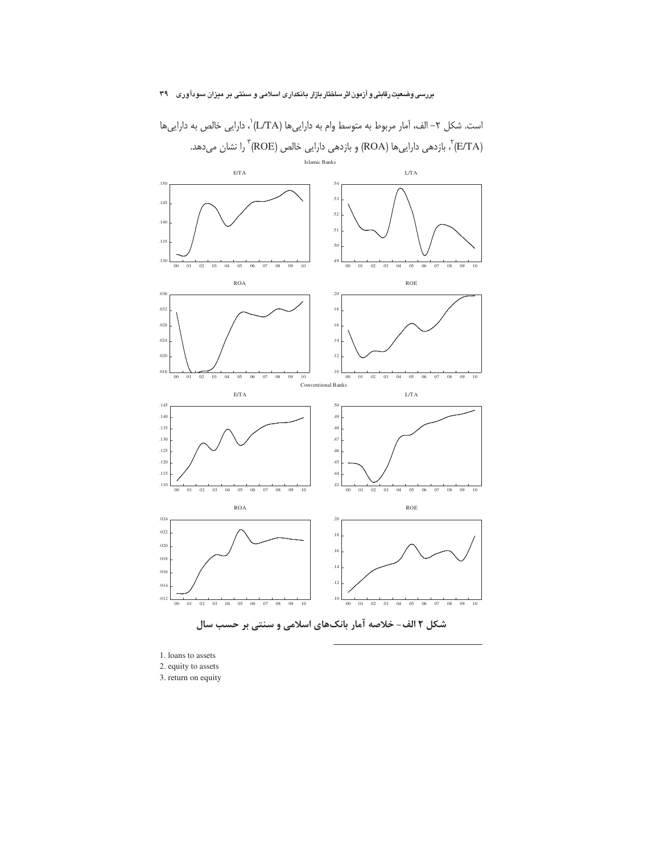

است. شكل ٢– الف، آمار مربوط به متوسط وام به دارايي ها (L/TA)`، دارايي خالص به دارايي ها ن بازدهی داراییها (ROA) و بازدهی دارایی خالص (ROE) ؓ را نشان میدهد.  $\displaystyle{^\text{v}(R)$ 

<sup>1.</sup> loans to assets

<sup>2.</sup> equity to assets

<sup>3.</sup> return on equity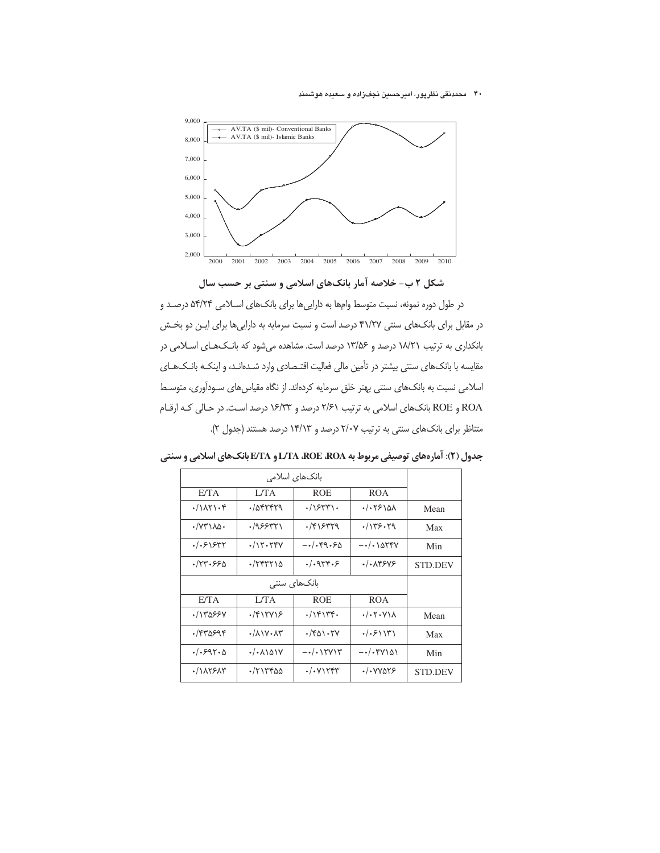## ۴۰ محمدنقی نظرپور، امیرحسین نجفزاده و سعیده هوشمند



# شکل ۲ ب- خلاصه آمار بانکهای اسلامی و سنتی بر حسب سال

در طول دوره نمونه، نسبت متوسط وامها به داراییها برای بانکهای اسلامی ۵۴/۲۴ درصد و در مقابل برای بانکهای سنتی ۴۱/۲۷ درصد است و نسبت سرمایه به داراییها برای ایـن دو بخـش بانکداری به ترتیب ۱۸/۲۱ درصد و ۱۳/۵۶ درصد است. مشاهده میشود که بانـکـهـای اسـلامی در مقایسه با بانکهای سنتی بیشتر در تأمین مالی فعالیت اقتـصادی وارد شـدهانـد، و اینکـه بانـک&ای اسلامی نسبت به بانکهای سنتی بهتر خلق سرمایه کردهاند. از نگاه مقیاسهای سـودآوری، متوسـط ROA و ROE بانکهای اسلامی به ترتیب ۲/۶۱ درصد و ۱۶/۳۳ درصد است. در حالی که ارقام متناظر برای بانکهای سنتی به ترتیب ٢/٠٧ درصد و ١۴/١٣ درصد هستند (جدول ٢).

|                      | بانکھای اسلامی                               |                                                   |                                             |         |
|----------------------|----------------------------------------------|---------------------------------------------------|---------------------------------------------|---------|
| E/TA                 | L/TA                                         |                                                   | <b>ROA</b>                                  |         |
| $\cdot/\lambda$ ۲۱۰۴ | ·/afrrra                                     | $\cdot$ / $\gamma$                                | ۵/۰۲۶–۰۱                                    | Mean    |
| $\cdot$ /V۳۱۸۵۰      | .7955971                                     | $\cdot$ /۴۱۶۳۳۹                                   | .1155.79                                    | Max     |
| . / . 515            | $\cdot/\Upsilon\cdot\Upsilon$                | $-\cdot/\cdot$ ۴۹۰۶۵                              | $-\cdot/\cdot$ ) arry                       | Min     |
| ۶/۲۳۰۶۶۵             | $\cdot$ /٢۴٣٢١۵                              | .4949.5                                           | $. / .$ $XYYY$                              | STD.DEV |
|                      |                                              |                                                   |                                             |         |
|                      |                                              | بانکھای سنتی                                      |                                             |         |
| E/TA                 | L/TA                                         | <b>ROE</b>                                        | <b>ROA</b>                                  |         |
| .78855V              | $\cdot$ /۴۱۲۷۱۶                              |                                                   | $\cdot$ / $\cdot$ Y $\cdot$ Y $\setminus$ A | Mean    |
| ۰/۴۳۵۶۹۴             | $\cdot$ / $\wedge$ $\vee$ $\cdot$ $\wedge$ ۳ | $\cdot$ /۴۵۱۰۲۷                                   | 1.5111                                      | Max     |
| $./-997.0$           | $\cdot/\cdot$ $\lambda\$                     | $-\cdot/\cdot$ \ $\uparrow$ $\uparrow$ $\uparrow$ | $-\cdot/\cdot$ ۴۷۱۵۱                        | Min     |

جدول (۲): آمارههای توصیفی مربوط به L/TA ،ROE ،ROA و E/TA بانک های اسلامی و سنتی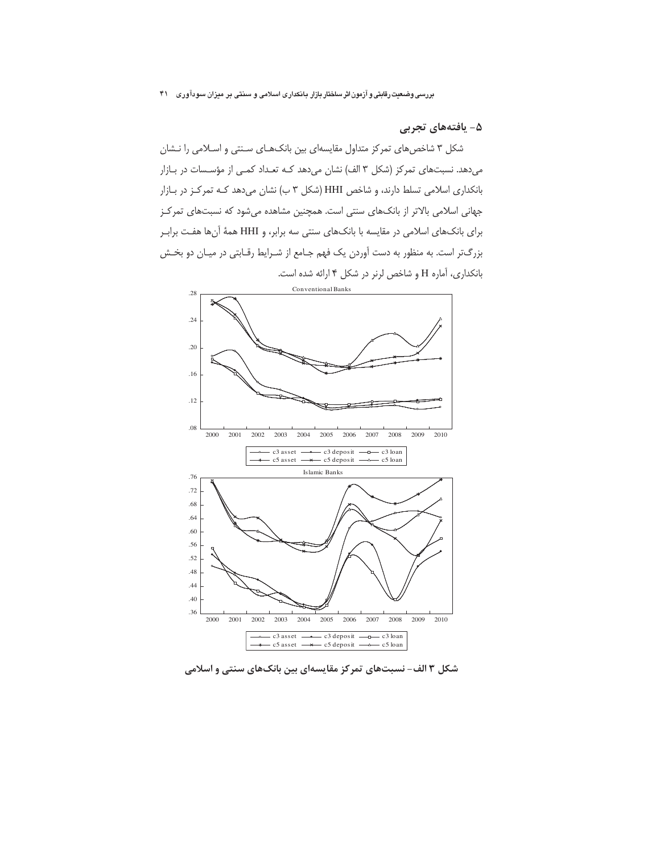# ۵- یافتههای تجربی

شکل ۳ شاخصهای تمرکز متداول مقایسهای بین بانکهـای سـنتی و اسـلامی را نـشان میدهد. نسبتهای تمرکز (شکل ۳ الف) نشان میدهد کـه تعـداد کمـی از مؤسـسات در بـازار بانکداری اسلامی تسلط دارند، و شاخص HHI (شکل ۳ ب) نشان میدهد کـه تمرکـز در بـازار جهانی اسلامی بالاتر از بانکهای سنتی است. همچنین مشاهده میشود که نسبتهای تمرکز برای بانکهای اسلامی در مقایسه با بانکهای سنتی سه برابر، و HHI همهٔ آنها هفت براب بزرگتر است. به منظور به دست آوردن یک فهم جـامع از شـرایط رقـابتی در میـان دو بخـش بانكدارى، آماره H و شاخص لرنر در شكل ۴ ارائه شده است.



شکل ۳ الف- نسبتهای تمرکز مقایسهای بین بانکهای سنتی و اسلامی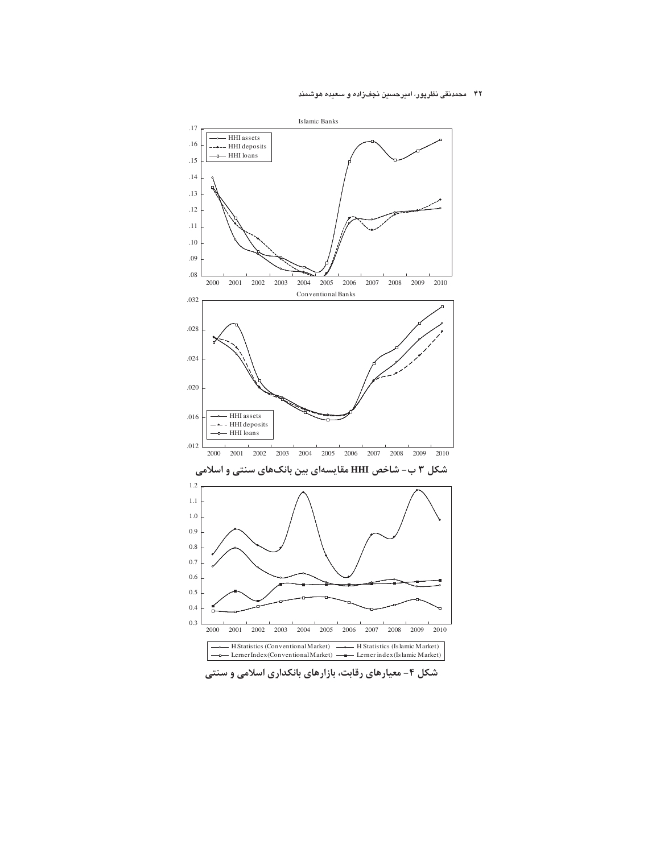#### ۴۲ \_ محمدنقی نظرپور، امیرحسین نجف;راده و سعیده هوشمند



شکل ۴- معیارهای رقابت، بازارهای بانکداری اسلامی و سنتی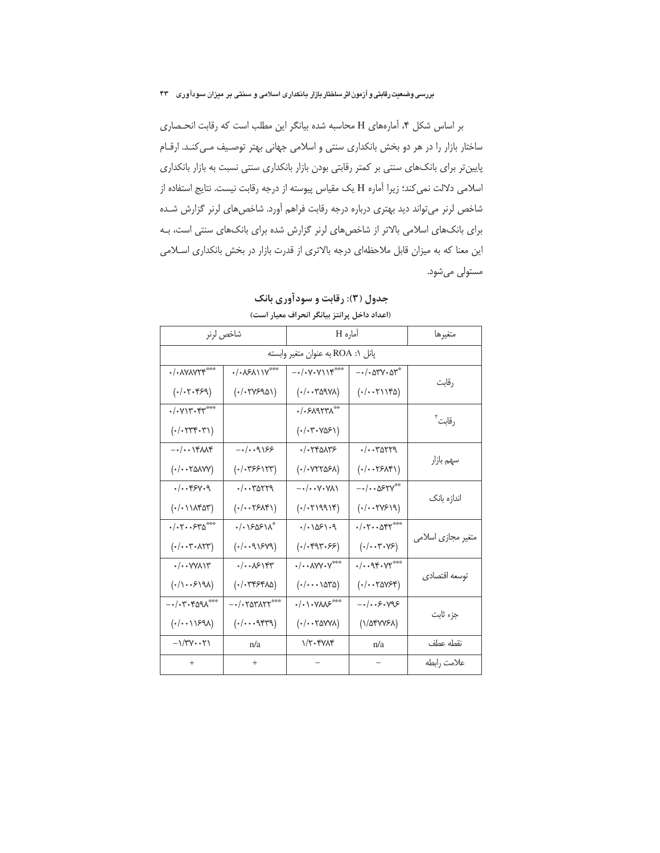بر اساس شكل ۴، آمارههاى H محاسبه شده بيانكر اين مطلب است كه رقابت انحصارى ساختار بازار را در هر دو بخش بانکداری سنتی و اسلامی جهانی بهتر توصیف می کند. ارقام پایینتر برای بانکهای سنتی بر کمتر رقابتی بودن بازار بانکداری سنتی نسبت به بازار بانکداری اسلامی دلالت نمی کند؛ زیرا آماره H یک مقیاس پیوسته از درجه رقابت نیست. نتایج استفاده از شاخص لرنر می تواند دید بهتری درباره درجه رقابت فراهم آورد. شاخصهای لرنر گزارش شده برای بانکهای اسلامی بالاتر از شاخصهای لرنر گزارش شده برای بانکهای سنتی است، به این معنا که به میزان قابل ملاحظهای درجه بالاتری از قدرت بازار در بخش بانکداری اسلامی مستولی میشود.

|                                                                               | شاخص لرنر                                        |                                                                                   | آماره H                                                              |                    |  |
|-------------------------------------------------------------------------------|--------------------------------------------------|-----------------------------------------------------------------------------------|----------------------------------------------------------------------|--------------------|--|
|                                                                               |                                                  | پانل ROA به عنوان متغير وابسته                                                    |                                                                      |                    |  |
| $\cdot$ / $\cdot$ $\land$ Y $\land$ Y $\uparrow$                              | $-(.051)Y^{***}$                                 | $-\cdot/\cdot \gamma\cdot \gamma \setminus \gamma^{***}$                          | $ \cdot$ $/$ $\cdot$ $\circ$ $\circ$ $\circ$ $\circ$ $\circ$ $\circ$ | رقابت              |  |
| (1.1.1.0)                                                                     | $($ ./.۲۷۶۹۵۱)                                   | $($ -/--۳۵۹۷۸)                                                                    | $(\cdot/\cdot\cdot\tau\setminus\iota\mathfrak{r}\omega)$             |                    |  |
| $\cdot$ / $\cdot$ $\vee$ $\vee$ $\cdot$ $\vee$ $\cdot$ $\vee$ $\cdot$ $\cdot$ |                                                  |                                                                                   |                                                                      | رقابت <sup>۲</sup> |  |
| $($ ./. $\forall$ r $\forall$ . $\forall$                                     |                                                  | $( \cdot / \cdot \mathbf{Y} \cdot \mathbf{Y} \mathbf{Q} \mathcal{F} \mathbf{Y} )$ |                                                                      |                    |  |
| $-\cdot/\cdot\cdot$ $\uparrow\uparrow\downarrow\downarrow\uparrow$            | $-1.1999$                                        | $\cdot$ / $\cdot$ $\uparrow$ $\uparrow$ $\uparrow$                                | $-(\cdot$ -rarra                                                     |                    |  |
| $($ ۰/۰۰۲۵۸۷۷ $)$                                                             | $($ ./.۳۶۶۱۲۳)                                   | $($ ۰/۰۷۲۲۵۶۸)                                                                    | $($ ·/··۲۶۸۴۱)                                                       | سهم بازار          |  |
| $. / $ $9. /$                                                                 | $\cdot/\cdot \cdot \text{r}$ arra                | $-\cdot/\cdot\cdot$ Y $\cdot$ Y $\wedge$                                          | $-\cdot/\cdot \cdot \Delta$ ۶۲۷ <sup>**</sup>                        |                    |  |
| $(\cdot/\cdot \setminus \wedge \wedge \wedge \wedge \wedge)$                  | $($ ·/··۲۶۸۴۱)                                   | $($ ./. $\Upsilon$ ۱۹۹۱۴)                                                         | $(\cdot/\cdot\cdot\mathsf{TYF})\mathsf{Y}$                           | اندازه بانک        |  |
| $-(.7-.540$                                                                   | $\cdot/\cdot$ $\frac{1}{205}$                    | $. / .   \Delta F   . Q$                                                          | $\cdot/\cdot$ $\cdot$ $\circ$ $\circ$ $\circ$                        |                    |  |
| $(\cdot/\cdot\cdot\mathbf{Y}\cdot\mathbf{X}\mathbf{Y}\mathbf{Y})$             | $(\cdot/\cdot\cdot$ 91849)                       | $($ ·/·۴۹۳·۶۶)                                                                    | $(\cdot/\cdot\cdot\mathbf{Y}\cdot\mathbf{Y}\mathbf{P})$              | متغیر مجازی اسلامی |  |
| $\cdot/\cdot\cdot$ YYA $\Upsilon$                                             | $\cdot/\cdot\cdot\sqrt{2}$                       | $\cdot/\cdot \cdot$ $\wedge$ $\vee$ $\vee$ $\rightarrow$ $\rightarrow$            | $-(.95.07***$                                                        |                    |  |
| $(1/\cdot 1)$                                                                 | $(\cdot/\cdot$ rrsraa)                           | $( \cdot / \cdot \cdot \cdot \wedge \Delta \wedge \Delta)$                        | $($ ./ $\text{YAYSF}$                                                | توسعه اقتصادى      |  |
| $-1.7.7.991$                                                                  |                                                  | $\cdot/\cdot\$ $\vee\wedge\vee\heartsuit$                                         | $-\cdot/\cdot\cdot$ ۶۰۷۹۶                                            |                    |  |
| (1.11591)                                                                     | $(\cdot/\cdot\cdot\cdot\lambda\cdot\mathcal{A})$ | $($ - $/$ - $Y$ avv $\lambda$                                                     | $(1/\Delta f V V F \lambda)$                                         | جزء ثابت           |  |
| $-\frac{1}{\gamma}$                                                           | n/a                                              | $1/\Upsilon$ . FV $\Lambda$ F                                                     | n/a                                                                  | نقطه عطف           |  |
| $^{+}$                                                                        | $^{+}$                                           |                                                                                   |                                                                      | علامت رابطه        |  |

# جدول (۳): رقابت و سودآوری بانک (اعداد داخل پرانتز بیانگر انحراف معیار است)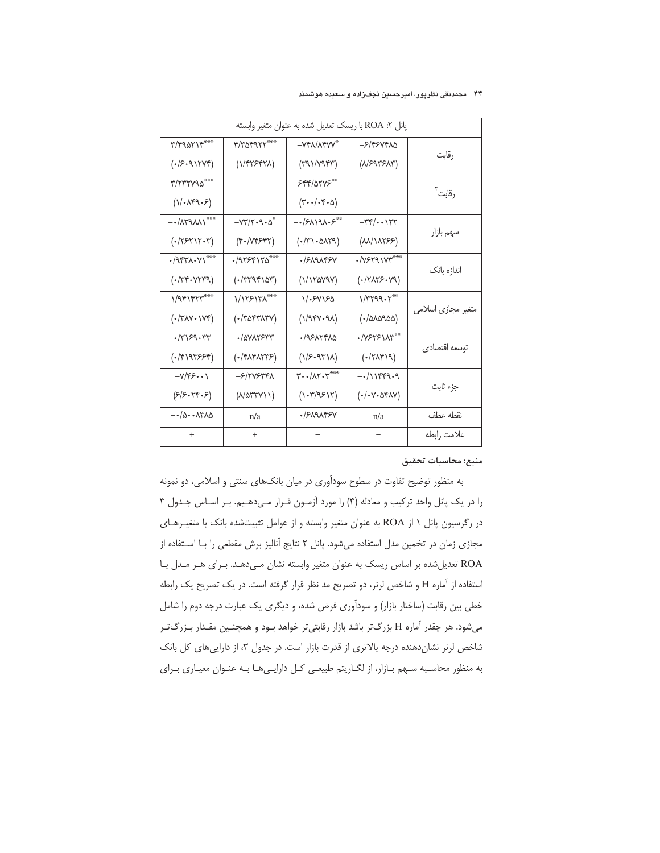# ۴۴ محمدنقی نظرپور، امیرحسین نجفزاده و سعیده هوشمند

|                                                                                                                          | پانل ۲: ROA با ريسک تعديل شده به عنوان متغير وابسته              |                                                      |                                                                   |                    |  |
|--------------------------------------------------------------------------------------------------------------------------|------------------------------------------------------------------|------------------------------------------------------|-------------------------------------------------------------------|--------------------|--|
| $\mathbf{y}/\mathbf{y}$ ary $\mathbf{y}$                                                                                 | ************                                                     | $-Yf \lambda / \lambda f V V^*$                      | -۶/۴۶۷۴۸۵                                                         |                    |  |
| $( \cdot   \mathcal{F} \cdot \mathcal{A} \setminus \mathsf{TYY} \mathcal{F})$                                            | (1/FY577A)                                                       | $(491/\sqrt{99})$                                    | (N/5975N)                                                         | رقابت              |  |
| ٣/٢٣٢٧٩٥***                                                                                                              |                                                                  | 555/0500                                             |                                                                   | رقابت <sup>۲</sup> |  |
| $(\vee \cdot \wedge \negthinspace \ast \negthinspace \circ \negthinspace \cdot \negthinspace \circ \negthinspace \circ)$ |                                                                  | $(\forall \cdot \cdot/\cdot \curlyvee \cdot \Delta)$ |                                                                   |                    |  |
| $ \cdot$ / $\wedge$ $\wedge$ $\vee$ $\rightarrow$ $\sim$ $\sim$                                                          | $-YY/Y \cdot 9 \cdot \Delta^*$                                   | $-15191.5$                                           | $-\tau\tau/\cdot\cdot\gamma\tau$                                  |                    |  |
| $(\cdot / \texttt{YSY} \texttt{Y} \cdot \texttt{Y})$                                                                     | $(\mathbf{f} \cdot \mathbf{M} \mathbf{f} \mathbf{f} \mathbf{f})$ | $(\cdot/\tau\cdot\Delta\Lambda\tau\gamma)$           | $(M\wedge\wedge\wedge\wedge\wedge\wedge\wedge\wedge\wedge)$       | سهم بازار          |  |
| $\cdot$ /9551.7)                                                                                                         | $47558180***$                                                    | <i>./۶</i> ۸۹۸۴۶۷                                    | $\cdot$ /Y۶۲۹۱۷۳***                                               |                    |  |
| $(*$ /۳۴۰۷۲۳۹)                                                                                                           | $(\cdot$ /۳۳۹۴۱۵۳)                                               | (1/170Y9Y)                                           | $(\cdot \wedge \wedge \wedge \vee \wedge \cdot \vee \vee \wedge)$ | اندازه بانک        |  |
| 1/981884                                                                                                                 | 1/1٢۶١٣٨***                                                      | ۱/۰۶۷۱۶۵                                             | $\frac{1}{T}$                                                     |                    |  |
| $(\cdot/\text{Y}\text{AY}\cdot\text{YY}\text{Y})$                                                                        | $($ ./۳۵۴۳۸۳۷ $)$                                                | $(1/94V\cdot 9A)$                                    | $($ ۰/۵۸۵۹۵۵)                                                     | متغیر مجازی اسلامی |  |
| $\cdot$ /٣١۶٩ $\cdot$ ٣٣                                                                                                 | ·/avvrstr                                                        | $-19517920$                                          | ٠/٧۶٢۶١٨٣**                                                       |                    |  |
| $(\cdot$ /۴۱۹۳۶۶۴)                                                                                                       | $(\cdot$ /۴۸۴۸۲۳۶)                                               | $(1/5.94^{\circ}1)$                                  | $(\cdot/\Upsilon\Lambda\Upsilon\setminus\cdot)$                   | توسعه اقتصادى      |  |
| $-\gamma/\xi\zeta\cdots$                                                                                                 | -۶/۲۷۶۳۴۸                                                        | $\mathbf{y} \cdot \mathbf{y}$                        | $-111899.9$                                                       | جزء ثابت           |  |
| (515.74.5)                                                                                                               | $(N\Delta \text{TTY})$                                           | $(1 - \frac{1}{2})$                                  | $(\cdot/\cdot\vee\cdot\Delta\mathsf{FAV})$                        |                    |  |
| $-\cdot/\vartriangle\cdot\cdot$ ۸۳۸ $\vartriangle$                                                                       | n/a                                                              | ·/SA9AFSY                                            | n/a                                                               | نقطه عطف           |  |
| $+$                                                                                                                      | $+$                                                              |                                                      |                                                                   | علامت رابطه        |  |

## منبع: محاسبات تحقيق

به منظور توضیح تفاوت در سطوح سودآوری در میان بانکهای سنتی و اسلامی، دو نمونه را در یک پانل واحد ترکیب و معادله (۳) را مورد آزمـون قـرار مـیدهـیم. بـر اسـاس جـدول ۳ در رگرسیون پانل ١ از ROA به عنوان متغیر وابسته و از عوامل تثبیتشده بانک با متغیـرهـای مجازی زمان در تخمین مدل استفاده می شود. پانل ٢ نتایج آنالیز برش مقطعی را با استفاده از ROA تعدیل شده بر اساس ریسک به عنوان متغیر وابسته نشان مهدهد. برای هـر مـدل بـا استفاده از آماره H و شاخص لرنر، دو تصریح مد نظر قرار گرفته است. در یک تصریح یک رابطه خطی بین رقابت (ساختار بازار) و سودآوری فرض شده، و دیگری یک عبارت درجه دوم را شامل میشود. هر چقدر آماره H بزرگتر باشد بازار رقابتیتر خواهد بـود و همچنـین مقـدار بـزرگتـر شاخص لرنر نشان دهنده درجه بالاترى از قدرت بازار است. در جدول ٣، از دارايى هاى كل بانك به منظور محاسبه سبهم بازار، از لگاریتم طبیعی کل داراییها بـه عنـوان معیـاری بـرای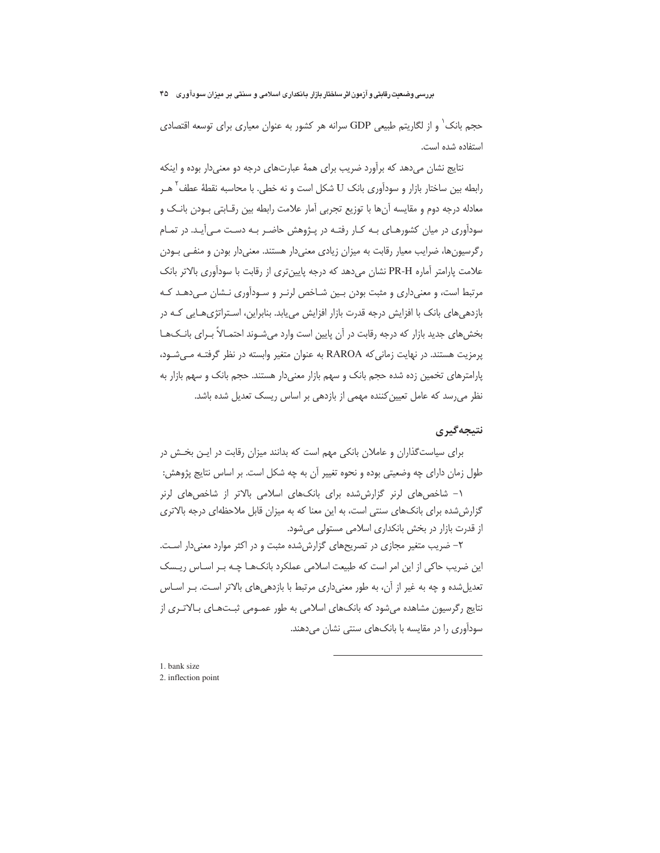حجم بانک` و از لگاریتم طبیعی GDP سرانه هر کشور به عنوان معیاری برای توسعه اقتصادی استفاده شده است.

نتایج نشان می دهد که برآورد ضریب برای همهٔ عبارتهای درجه دو معنی دار بوده و اینکه رابطه بین ساختار بازار و سودآوری بانک U شکل است و نه خطی. با محاسبه نقطهٔ عطف<sup>۲</sup> هـر معادله درجه دوم و مقايسه آنها با توزيع تجربي آمار علامت رابطه بين رقـابتي بـودن بانـک و سودآوری در میان کشورهـای بـه کـار رفتـه در پـژوهش حاضـر بـه دسـت مـی آیـد. در تمـام رگرسیونها، ضرایب معیار رقابت به میزان زیادی معنیدار هستند. معنیدار بودن و منفـی بـودن علامت پارامتر آماره PR-H نشان میدهد که درجه پایینتری از رقابت با سودآوری بالاتر بانک مرتبط است، و معنی داری و مثبت بودن بین شـاخص لرنـر و سـودآوری نـشان مـی دهـد کـه بازدهی های بانک با افزایش درجه قدرت بازار افزایش می یابد. بنابراین، استراتژی هـایی کـه در بخشهای جدید بازار که درجه رقابت در آن پایین است وارد میشوند احتمـالاً بـرای بانـک&ـا یرمزیت هستند. در نهایت زمانی که RAROA به عنوان متغیر وابسته در نظر گرفتـه مـی شـود، یارامترهای تخمین زده شده حجم بانک و سهم بازار معنیدار هستند. حجم بانک و سهم بازار به نظر می رسد که عامل تعیین کننده مهمی از بازدهی بر اساس ریسک تعدیل شده باشد.

# نتيجەگيرى

برای سیاست گذاران و عاملان بانکی مهم است که بدانند میزان رقابت در ایـن بخـش در طول زمان دارای چه وضعیتی بوده و نحوه تغییر آن به چه شکل است. بر اساس نتایج پژوهش:

۱- شاخص های لرنر گزارش شده برای بانکهای اسلامی بالاتر از شاخص های لرنر گزارش شده برای بانکهای سنتی است، به این معنا که به میزان قابل ملاحظهای درجه بالاتری از قدرت بازار در بخش بانکداری اسلامی مستولی می شود.

۲– ضریب متغیر مجازی در تصریحهای گزارششده مثبت و در اکثر موارد معنیدار اسـت. این ضریب حاکی از این امر است که طبیعت اسلامی عملکرد بانک هـا چـه بـر اسـاس ریـسک تعدیل شده و چه به غیر از آن، به طور معنی داری مرتبط با بازدهی های بالاتر است. بـر اسـاس نتایج رگرسیون مشاهده میشود که بانکهای اسلامی به طور عمـومی ثبـتهـای بـالاتـری از سودآوری را در مقایسه با بانکهای سنتی نشان می دهند.

<sup>1.</sup> bank size 2. inflection point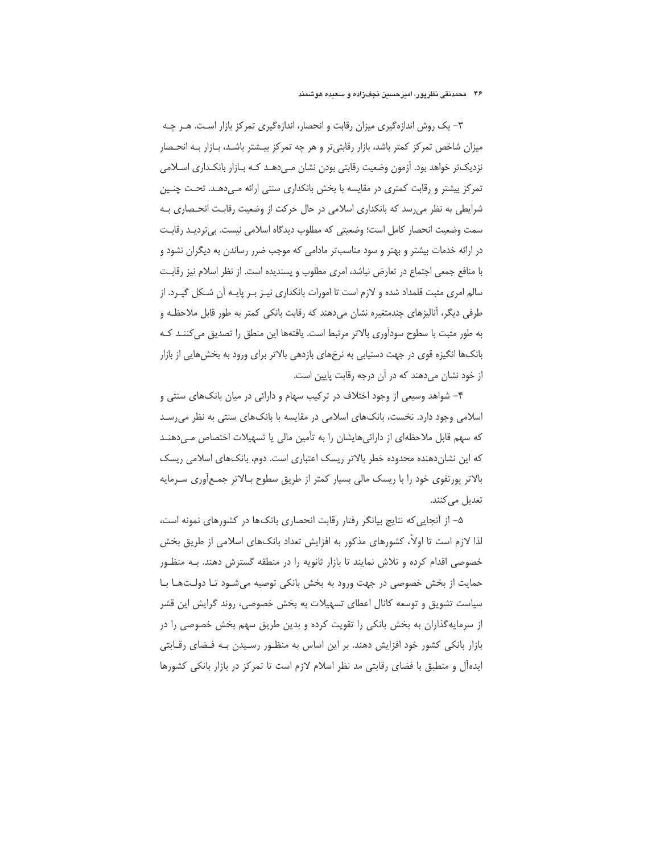# ۴۶٪ محمدنقی نظرپور، امیرحسین نجفزاده و سعیده هوشمند

۳– یک روش اندازهگیری میزان رقابت و انحصار، اندازهگیری تمرکز بازار است. هـر چـه میزان شاخص تمرکز کمتر باشد، بازار رقابتیتر و هر چه تمرکز بیـشتر باشـد، بـازار بـه انحـصار نزدیکتر خواهد بود. آزمون وضعیت رقابتی بودن نشان مـی‹هـد کـه بـازار بانکـداری اسـلامی تمرکز بیشتر و رقابت کمتری در مقایسه با بخش بانکداری سنتی ارائه مـیدهـد. تحـت چنـین شرایطی به نظر می رسد که بانکداری اسلامی در حال حرکت از وضعیت رقابـت انحـصاری بـه سمت وضعيت انحصار كامل است؛ وضعيتي كه مطلوب ديدگاه اسلامي نيست. بي ترديـد رقابـت در ارائه خدمات بیشتر و بهتر و سود مناسبتر مادامی که موجب ضرر رساندن به دیگران نشود و با منافع جمعی اجتماع در تعارض نباشد، امری مطلوب و پسندیده است. از نظر اسلام نیز رقابت سالم امری مثبت قلمداد شده و لازم است تا امورات بانکداری نیـز بـر پایـه آن شـکل گیـرد. از طرفی دیگر، آنالیزهای چندمتغیره نشان میدهند که رقابت بانکی کمتر به طور قابل ملاحظـه و به طور مثبت با سطوح سودآوری بالاتر مرتبط است. یافتهها این منطق را تصدیق می کننـد کـه بانکها انگیزه قوی در جهت دستیابی به نرخهای بازدهی بالاتر برای ورود به بخش هایی از بازار از خود نشان می دهند که در آن درجه رقابت پایین است.

۴– شواهد وسیعی از وجود اختلاف در ترکیب سهام و دارائی در میان بانکهای سنتی و اسلامی وجود دارد. نخست، بانکهای اسلامی در مقایسه با بانکهای سنتی به نظر می رسد که سهم قابل ملاحظهای از دارائیهایشان را به تأمین مالی یا تسهیلات اختصاص میدهنـد که این نشاندهنده محدوده خطر بالاتر ریسک اعتباری است. دوم، بانکهای اسلامی ریسک بالاتر پورتفوی خود را با ریسک مالی بسیار کمتر از طریق سطوح بـالاتر جمـع[وری سـرمایه تعديل مي كنند.

۵– از آنجایی که نتایج بیانگر رفتار رقابت انحصاری بانکها در کشورهای نمونه است، لذا لازم است تا اولاً، کشورهای مذکور به افزایش تعداد بانکهای اسلامی از طریق بخش خصوصی اقدام کرده و تلاش نمایند تا بازار ثانویه را در منطقه گسترش دهند. بـه منظـور حمایت از بخش خصوصی در جهت ورود به بخش بانکی توصیه میشـود تـا دولـتهـا بـا سیاست تشویق و توسعه کانال اعطای تسهیلات به بخش خصوصی، روند گرایش این قشر از سرمایهگذاران به بخش بانکی را تقویت کرده و بدین طریق سهم بخش خصوصی را در بازار بانکی کشور خود افزایش دهند. بر این اساس به منظـور رسـیدن بـه فـضای رقـابتی ایدهآل و منطبق با فضای رقابتی مد نظر اسلام لازم است تا تمرکز در بازار بانکی کشورها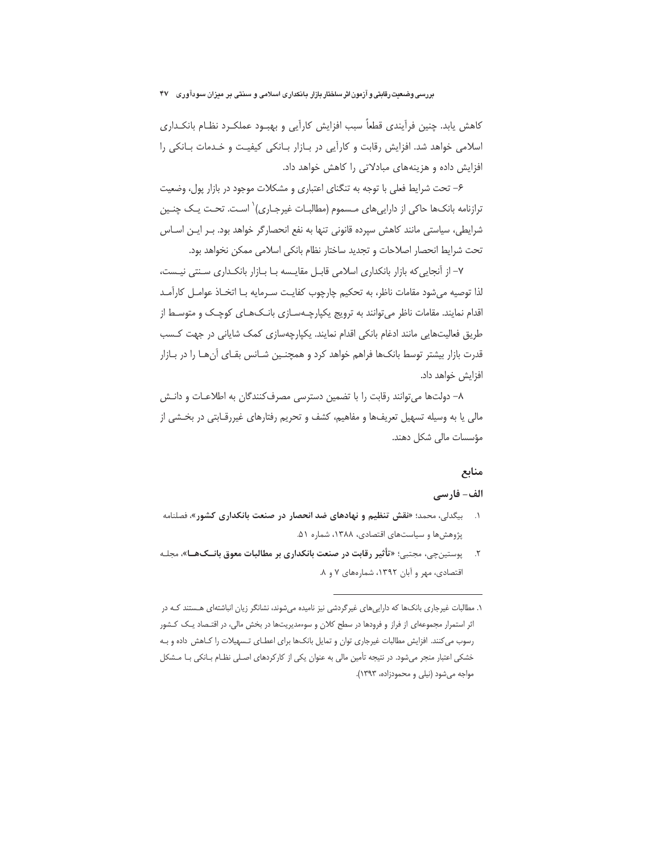کاهش یابد. چنین فرآیندی قطعاً سبب افزایش کارآیی و بهبود عملک رد نظـام بانکـداری اسلامی خواهد شد. افزایش رقابت و کارآیی در بـازار بـانکی کیفیـت و خـدمات بـانکی را افزایش داده و هزینههای مبادلاتی را کاهش خواهد داد.

۶– تحت شرایط فعلی با توجه به تنگنای اعتباری و مشکلات موجود در بازار پول، وضعیت ترازنامه بانکـها حاکی از داراییهای مـسموم (مطالبـات غیرجـاری)<sup>\</sup> اسـت. تحـت یـک چنـین شرایطی، سیاستی مانند کاهش سپرده قانونی تنها به نفع انحصارگر خواهد بود. بـر ایـن اسـاس تحت شرايط انحصار اصلاحات و تجديد ساختار نظام بانكي اسلامي ممكن نخواهد بود.

۷– از آنجایی که بازار بانکداری اسلامی قابـل مقایـسه بـا بـازار بانکـداری سـنتی نیـست، لذا توصيه مي شود مقامات ناظر، به تحكيم چارچوب كفايت سـرمايه بـا اتخـاذ عوامـل كارآمـد اقدام نمایند. مقامات ناظر میتوانند به ترویج یکپارچـهسـازی بانـکهـای کوچـک و متوسـط از طریق فعالیتهایی مانند ادغام بانکی اقدام نمایند. یکپارچهسازی کمک شایانی در جهت کسب قدرت بازار بیشتر توسط بانکها فراهم خواهد کرد و همچنـین شـانس بقـای آنهـا را در بـازار افزایش خواهد داد.

۸– دولتها می توانند رقابت را با تضمین دسترسی مصرف کنندگان به اطلاعـات و دانـش مالی یا به وسیله تسهیل تعریفها و مفاهیم، کشف و تحریم رفتارهای غیررقـابتی در بخـشی از مؤسسات مالی شکل دهند.

#### منابع

# الف- فارسي

- ۱. بیگدلی، محمد؛ «نقش تنظیم و نهادهای ضد انحصار در صنعت بانکداری کشور»، فصلنامه پژوهش ها و سیاستهای اقتصادی، ۱۳۸۸، شماره ۵۱.
- ۲. \_ پوستینچی، مجتبی؛ «تأثیر رقابت در صنعت بانکداری بر مطالبات معوق بانــکھــا»، مجلـه اقتصادی، مهر و آبان ١٣٩٢، شمارههای ٧ و ٨.

۱. مطالبات غیرجاری بانکها که داراییهای غیرگردشی نیز نامیده میشوند، نشانگر زیان انباشتهای هـستند کـه در اثر استمرار مجموعهای از فراز و فرودها در سطح کلان و سوءمدیریتها در بخش مالی، در اقتـصاد یـک کـشور رسوب می کنند. افزایش مطالبات غیرجاری توان و تمایل بانکها برای اعطـای تـسهیلات را کـاهش داده و بـه خشکی اعتبار منجر میشود. در نتیجه تأمین مالی به عنوان یکی از کارکردهای اصلی نظـام بـانکی بـا مـشکل مواجه می شود (نیلی و محمودزاده، ١٣٩٣).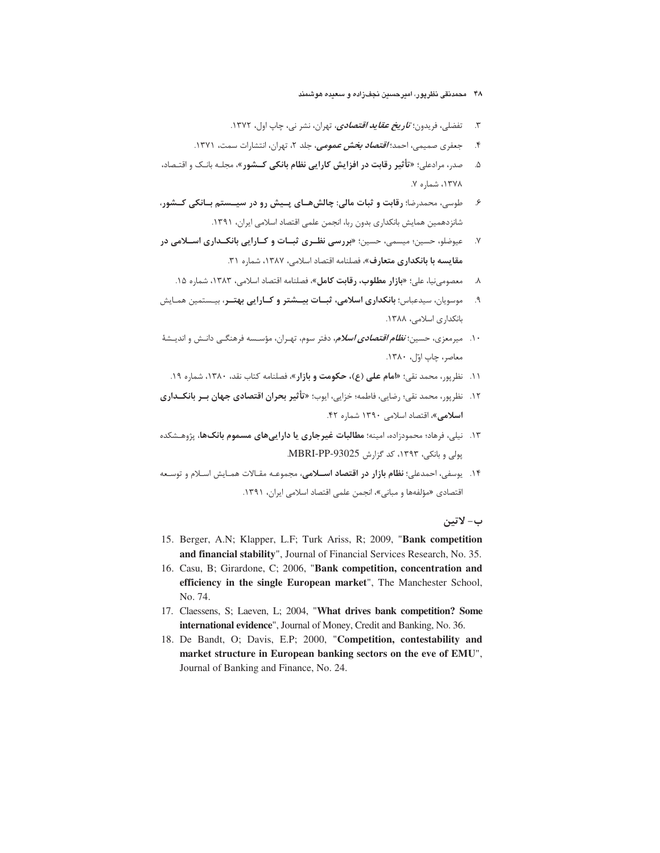- ۴۸ محمدنقی نظرپور، امیرحسین نجفزاده و سعیده هوشمند
- ۳. تفضلي، فريدون؛ *تاريخ <i>عقايد اقتصادي***،** تهران، نشر ني، چاپ اول، ۱۳۷۲.
- ۴. جعفری صمیمی، احمد؛ *اقتصاد بخش عمومی، ج*لد ۲، تهران، انتشارات سمت، ۱۳۷۱.
- ۵. صدر، مرادعلی؛ «**تأثیر رقابت در افزایش کارایی نظام بانکی کــشور**»، مجلـه بانـک و اقتـصاد، ۱۳۷۸، شماره ۷.
- ۶ ٪ موسی، محمدرضا؛ **رقابت و ثبات مالی: چالشهــای پــیش رو در سیـــستم بــانکی کــشور،** شانزدهمین همایش بانکداری بدون ربا، انجمن علمی اقتصاد اسلامی ایران، ۱۳۹۱.
- ۷. میوضلو، حسین؛ میسمی، حسین؛ «بررسی نظری ثبات و کیارایی بانکیداری اسپلامی در **مقایسه با بانکداری متعارف**»، فصلنامه اقتصاد اسلامی، ۱۳۸۷، شماره ۳۱.
	- ۸. معصومینیا، علی؛ «**بازار مطلوب، رقابت کامل**»، فصلنامه اقتصاد اسلامی، ۱۳۸۳، شماره ۱۵.
- ۹. موسویان، سیدعباس؛ بانکداری اسلامی، ثبات بیــشتر و کـارایی بهتـر، بیـستمین همـایش بانکداری اسلامی، ۱۳۸۸.
- ۱۰. میرمعزی، حسین؛ *نظام اقتصادی اسلام*، دفتر سوم، تهـران، مؤســسه فرهنگــی دانــش و اندیــشهٔ معاصر، چاپ اوّل، ۱۳۸۰.
- ۱۱. نظرپور، محمد نقي؛ «**امام علي (ع)، حكومت و بازار**»، فصلنامه كتاب نقد، ۱۳۸۰، شماره ۱۹.
- ۱۲. نظرپور، محمد نقی؛ رضایی، فاطمه؛ خزایی، ایوب؛ «**تأثیر بحران اقتصادی جهان بـر بانکــداری اسلامی»،** اقتصاد اسلامی ۱۳۹۰ شماره ۴۲.
- ۱۳. نیلی، فرهاد؛ محمودزاده، امینه؛ **مطالبات غیرجاری یا داراییهای مسموم بانکها،** پژوهـشکده پولی و بانکی، ۱۳۹۳، کد گزارش MBRI-PP-93025.
- ۱۴. یوسفی، احمدعلی؛ **نظام بازار در اقتصاد اســلامی**، مجموعـه مقـالات همـایش اسـلام و توسـعه اقتصادی «مؤلفهها و مبانی»، انجمن علمی اقتصاد اسلامی ایران، ۱۳۹۱.

# ب- لاتين

- 15. Berger, A.N; Klapper, L.F; Turk Ariss, R; 2009, "**Bank competition and financial stability**", Journal of Financial Services Research, No. 35.
- 16. Casu, B; Girardone, C; 2006, "**Bank competition, concentration and efficiency in the single European market**", The Manchester School, No. 74.
- 17. Claessens, S; Laeven, L; 2004, "**What drives bank competition? Some international evidence**", Journal of Money, Credit and Banking, No. 36.
- 18. De Bandt, O; Davis, E.P; 2000, "**Competition, contestability and market structure in European banking sectors on the eve of EMU**", Journal of Banking and Finance, No. 24.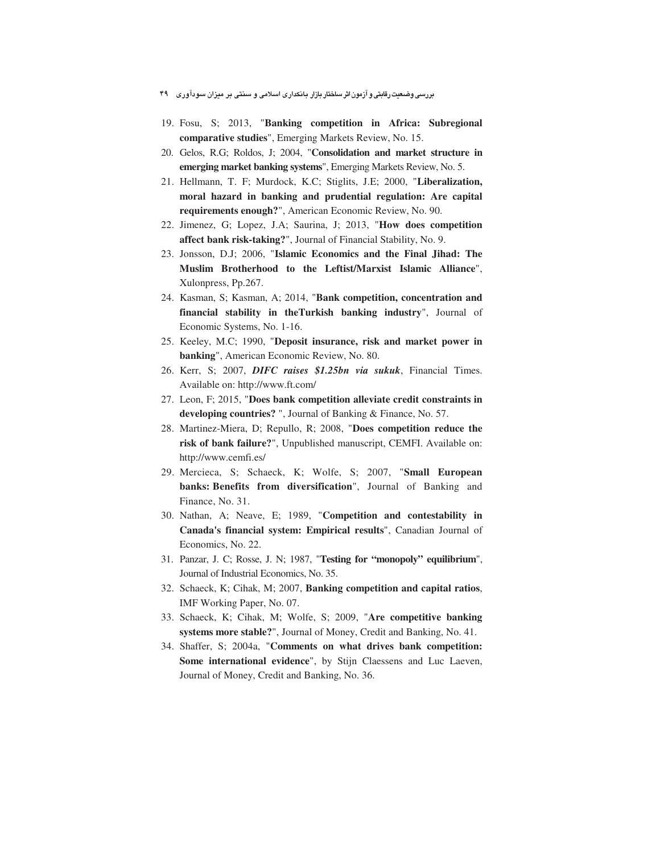- 19. Fosu, S; 2013, "**Banking competition in Africa: Subregional comparative studies**", Emerging Markets Review, No. 15.
- 20. Gelos, R.G; Roldos, J; 2004, "**Consolidation and market structure in emerging market banking systems**", Emerging Markets Review, No. 5.
- 21. Hellmann, T. F; Murdock, K.C; Stiglits, J.E; 2000, "**Liberalization, moral hazard in banking and prudential regulation: Are capital requirements enough?**", American Economic Review, No. 90.
- 22. Jimenez, G; Lopez, J.A; Saurina, J; 2013, "**How does competition affect bank risk-taking?**", Journal of Financial Stability, No. 9.
- 23. Jonsson, D.J; 2006, "**Islamic Economics and the Final Jihad: The Muslim Brotherhood to the Leftist/Marxist Islamic Alliance**", Xulonpress, Pp.267.
- 24. Kasman, S; Kasman, A; 2014, "**Bank competition, concentration and financial stability in theTurkish banking industry**", Journal of Economic Systems, No. 1-16.
- 25. Keeley, M.C; 1990, "**Deposit insurance, risk and market power in banking**", American Economic Review, No. 80.
- 26. Kerr, S; 2007, *DIFC raises \$1.25bn via sukuk*, Financial Times. Available on: http://www.ft.com/
- 27. Leon, F; 2015, "**Does bank competition alleviate credit constraints in developing countries?** ", Journal of Banking & Finance, No. 57.
- 28. Martinez-Miera, D; Repullo, R; 2008, "**Does competition reduce the risk of bank failure?**", Unpublished manuscript, CEMFI. Available on: http://www.cemfi.es/
- 29. Mercieca, S; Schaeck, K; Wolfe, S; 2007, "**Small European banks: Benefits from diversification**", Journal of Banking and Finance, No. 31.
- 30. Nathan, A; Neave, E; 1989, "**Competition and contestability in Canada's financial system: Empirical results**", Canadian Journal of Economics, No. 22.
- 31. Panzar, J. C; Rosse, J. N; 1987, "**Testing for "monopoly" equilibrium**", Journal of Industrial Economics, No. 35.
- 32. Schaeck, K; Cihak, M; 2007, **Banking competition and capital ratios**, IMF Working Paper, No. 07.
- 33. Schaeck, K; Cihak, M; Wolfe, S; 2009, "**Are competitive banking systems more stable?**", Journal of Money, Credit and Banking, No. 41.
- 34. Shaffer, S; 2004a, "**Comments on what drives bank competition: Some international evidence**", by Stijn Claessens and Luc Laeven, Journal of Money, Credit and Banking, No. 36.